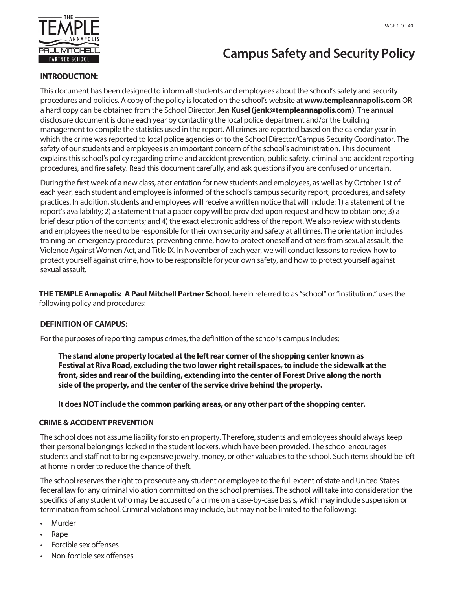

# **Campus Safety and Security Policy**

#### **INTRODUCTION:**

This document has been designed to inform all students and employees about the school's safety and security procedures and policies. A copy of the policy is located on the school's website at **www.templeannapolis.com** OR a hard copy can be obtained from the School Director, **Jen Kusel (jenk@templeannapolis.com)**. The annual disclosure document is done each year by contacting the local police department and/or the building management to compile the statistics used in the report. All crimes are reported based on the calendar year in which the crime was reported to local police agencies or to the School Director/Campus Security Coordinator. The safety of our students and employees is an important concern of the school's administration. This document explains this school's policy regarding crime and accident prevention, public safety, criminal and accident reporting procedures, and fire safety. Read this document carefully, and ask questions if you are confused or uncertain.

During the first week of a new class, at orientation for new students and employees, as well as by October 1st of each year, each student and employee is informed of the school's campus security report, procedures, and safety practices. In addition, students and employees will receive a written notice that will include: 1) a statement of the report's availability; 2) a statement that a paper copy will be provided upon request and how to obtain one; 3) a brief description of the contents; and 4) the exact electronic address of the report. We also review with students and employees the need to be responsible for their own security and safety at all times. The orientation includes training on emergency procedures, preventing crime, how to protect oneself and others from sexual assault, the Violence Against Women Act, and Title IX. In November of each year, we will conduct lessons to review how to protect yourself against crime, how to be responsible for your own safety, and how to protect yourself against sexual assault.

**THE TEMPLE Annapolis: A Paul Mitchell Partner School**, herein referred to as "school" or"institution," uses the following policy and procedures:

#### **DEFINITION OF CAMPUS:**

For the purposes of reporting campus crimes, the definition of the school's campus includes:

**The stand alone property located at the left rear corner of the shopping center known as Festival at Riva Road, excluding the two lower right retail spaces, to include the sidewalk at the front, sides and rear of the building, extending into the center of Forest Drive along the north side of the property, and the center of the service drive behind the property.**

#### **It does NOT include the common parking areas, or any other part of the shopping center.**

#### **CRIME & ACCIDENT PREVENTION**

The school does not assume liability for stolen property. Therefore, students and employees should always keep their personal belongings locked in the student lockers, which have been provided. The school encourages students and staff not to bring expensive jewelry, money, or other valuables to the school. Such items should be left at home in order to reduce the chance of theft.

The school reserves the right to prosecute any student or employee to the full extent of state and United States federal law for any criminal violation committed on the school premises. The school will take into consideration the specifics of any student who may be accused of a crime on a case-by-case basis, which may include suspension or termination from school. Criminal violations may include, but may not be limited to the following:

- **Murder**
- Rape
- Forcible sex offenses
- Non-forcible sex offenses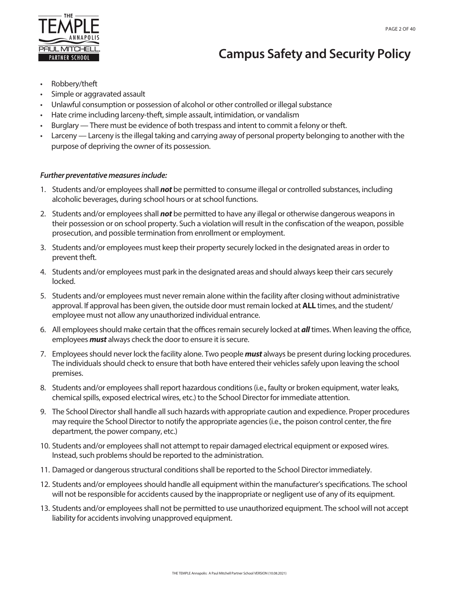

# **Campus Safety and Security Policy**

- Robbery/theft
- Simple or aggravated assault
- Unlawful consumption or possession of alcohol or other controlled or illegal substance
- Hate crime including larceny-theft, simple assault, intimidation, or vandalism
- Burglary There must be evidence of both trespass and intent to commit a felony or theft.
- Larceny Larceny is the illegal taking and carrying away of personal property belonging to another with the purpose of depriving the owner of its possession.

#### *Further preventative measures include:*

- 1. Students and/or employees shall *not* be permitted to consume illegal or controlled substances, including alcoholic beverages, during school hours or at school functions.
- 2. Students and/or employees shall *not* be permitted to have any illegal or otherwise dangerous weapons in their possession or on school property. Such a violation will result in the confiscation of the weapon, possible prosecution, and possible termination from enrollment or employment.
- 3. Students and/or employees must keep their property securely locked in the designated areas in order to prevent theft.
- 4. Students and/or employees must park in the designated areas and should always keep their cars securely locked.
- 5. Students and/or employees must never remain alone within the facility after closing without administrative approval. If approval has been given, the outside door must remain locked at **ALL** times, and the student/ employee must not allow any unauthorized individual entrance.
- 6. All employees should make certain that the offices remain securely locked at *all* times. When leaving the office, employees *must* always check the door to ensure it is secure.
- 7. Employees should never lock the facility alone. Two people *must* always be present during locking procedures. The individuals should check to ensure that both have entered their vehicles safely upon leaving the school premises.
- 8. Students and/or employees shall report hazardous conditions (i.e., faulty or broken equipment, water leaks, chemical spills, exposed electrical wires, etc.) to the School Director for immediate attention.
- 9. The School Director shall handle all such hazards with appropriate caution and expedience. Proper procedures may require the School Director to notify the appropriate agencies (i.e., the poison control center, the fire department, the power company, etc.)
- 10. Students and/or employees shall not attempt to repair damaged electrical equipment or exposed wires. Instead, such problems should be reported to the administration.
- 11. Damaged or dangerous structural conditions shall be reported to the School Director immediately.
- 12. Students and/or employees should handle all equipment within the manufacturer's specifications. The school will not be responsible for accidents caused by the inappropriate or negligent use of any of its equipment.
- 13. Students and/or employees shall not be permitted to use unauthorized equipment. The school will not accept liability for accidents involving unapproved equipment.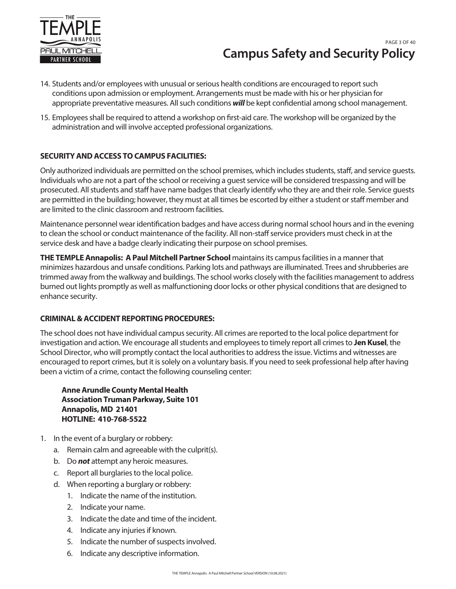

# **Campus Safety and Security Policy** PAGE 3 OF 40

- 14. Students and/or employees with unusual or serious health conditions are encouraged to report such conditions upon admission or employment. Arrangements must be made with his or her physician for appropriate preventative measures. All such conditions *will* be kept confidential among school management.
- 15. Employees shall be required to attend a workshop on first-aid care. The workshop will be organized by the administration and will involve accepted professional organizations.

## **SECURITY AND ACCESS TO CAMPUS FACILITIES:**

Only authorized individuals are permitted on the school premises, which includes students, staff, and service guests. Individuals who are not a part of the school or receiving a guest service will be considered trespassing and will be prosecuted. All students and staff have name badges that clearly identify who they are and their role. Service guests are permitted in the building; however, they must at all times be escorted by either a student or staff member and are limited to the clinic classroom and restroom facilities.

Maintenance personnel wear identification badges and have access during normal school hours and in the evening to clean the school or conduct maintenance of the facility. All non-staff service providers must check in at the service desk and have a badge clearly indicating their purpose on school premises.

**THE TEMPLE Annapolis: A Paul Mitchell Partner School** maintains its campus facilities in a manner that minimizes hazardous and unsafe conditions. Parking lots and pathways are illuminated. Trees and shrubberies are trimmed away from the walkway and buildings. The school works closely with the facilities management to address burned out lights promptly as well as malfunctioning door locks or other physical conditions that are designed to enhance security.

## **CRIMINAL & ACCIDENT REPORTING PROCEDURES:**

The school does not have individual campus security. All crimes are reported to the local police department for investigation and action. We encourage all students and employees to timely report all crimes to **Jen Kusel**, the School Director, who will promptly contact the local authorities to address the issue. Victims and witnesses are encouraged to report crimes, but it is solely on a voluntary basis. If you need to seek professional help after having been a victim of a crime, contact the following counseling center:

**AnneArundle County Mental Health Association Truman Parkway, Suite 101 Annapolis, MD 21401 HOTLINE: 410-768-5522**

- 1. In the event of a burglary or robbery:
	- a. Remain calm and agreeable with the culprit(s).
	- b. Do *not* attempt any heroic measures.
	- c. Report all burglaries to the local police.
	- d. When reporting a burglary or robbery:
		- 1. Indicate the name of the institution.
		- 2. Indicate your name.
		- 3. Indicate the date and time of the incident.
		- 4. Indicate any injuries if known.
		- 5. Indicate the number of suspects involved.
		- 6. Indicate any descriptive information.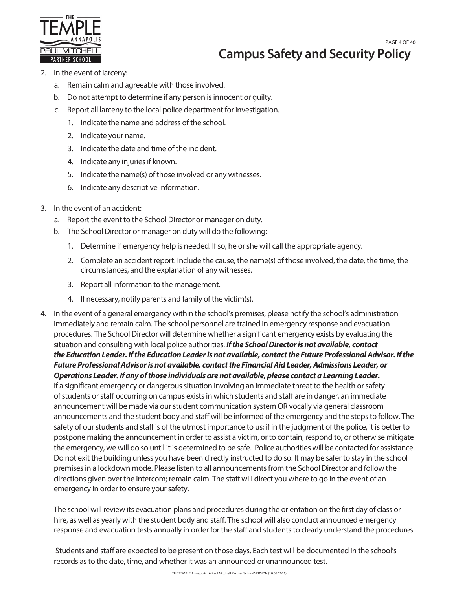

# **Campus Safety and Security Policy** PAGE 4 OF 40

- 2. In the event of larceny:
	- a. Remain calm and agreeable with those involved.
	- b. Do not attempt to determine if any person is innocent or guilty.
	- c. Report all larceny to the local police department for investigation.
		- 1. Indicate the name and address of the school.
		- 2. Indicate your name.
		- 3. Indicate the date and time of the incident.
		- 4. Indicate any injuries if known.
		- 5. Indicate the name(s) of those involved or any witnesses.
		- 6. Indicate any descriptive information.
- 3. In the event of an accident:
	- a. Report the event to the School Director or manager on duty.
	- b. The School Director or manager on duty will do the following:
		- 1. Determine if emergency help is needed. If so, he or she will call the appropriate agency.
		- 2. Complete an accident report. Include the cause, the name(s) of those involved, the date, the time, the circumstances, and the explanation of any witnesses.
		- 3. Report all information to the management.
		- 4. If necessary, notify parents and family of the victim(s).
- 4. In the event of a general emergency within the school's premises, please notify the school's administration immediately and remain calm. The school personnel are trained in emergency response and evacuation procedures. The School Director will determine whether a significant emergency exists by evaluating the situation and consulting with local police authorities. *If the School Director is not available, contact the Education Leader. If the Education Leader is not available, contactthe Future Professional Advisor. If the Future Professional Advisor is not available, contact the Financial Aid Leader, Admissions Leader, or Operations Leader. If any of those individuals are not available, please contact a Learning Leader.* If a significant emergency or dangerous situation involving an immediate threat to the health or safety of students or staff occurring on campus exists in which students and staff are in danger, an immediate announcement will be made via our student communication system OR vocally via general classroom announcements and the student body and staff will be informed of the emergency and the steps to follow. The safety of our students and staff is of the utmost importance to us; if in the judgment of the police, it is better to postpone making the announcement in order to assist a victim, or to contain, respond to, or otherwise mitigate the emergency, we will do so until it is determined to be safe. Police authorities will be contacted for assistance. Do not exit the building unless you have been directly instructed to do so. It may be safer to stay in the school premises in a lockdown mode. Please listen to all announcements from the School Director and follow the directions given over the intercom; remain calm. The staff will direct you where to go in the event of an emergency in order to ensure your safety.

The school will review its evacuation plans and procedures during the orientation on the first day of class or hire, as well as yearly with the student body and staff. The school will also conduct announced emergency response and evacuation tests annually in order for the staff and students to clearly understand the procedures.

Students and staff are expected to be present on those days. Each test will be documented in the school's records as to the date, time, and whether it was an announced or unannounced test.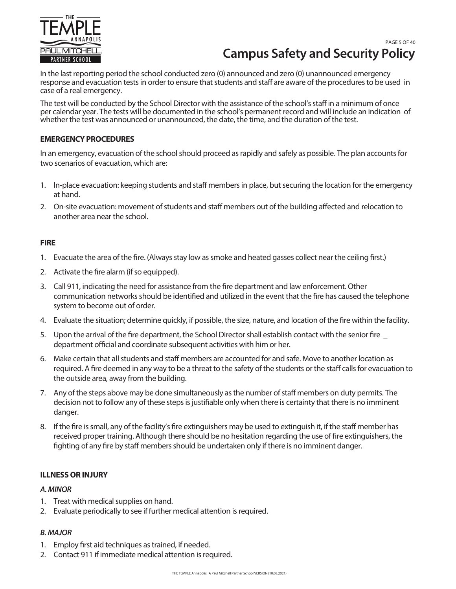

# **Campus Safety and Security Policy** PAGE 5 OF 40

In the last reporting period the school conducted zero (0) announced and zero (0) unannounced emergency response and evacuation tests in order to ensure that students and staff are aware of the procedures to be used in case of a real emergency.

The test will be conducted by the School Director with the assistance of the school's staff in a minimum of once per calendar year. The tests will be documented in the school's permanent record and will include an indication of whether the test was announced or unannounced, the date, the time, and the duration of the test.

#### **EMERGENCY PROCEDURES**

In an emergency, evacuation of the school should proceed as rapidly and safely as possible. The plan accounts for two scenarios of evacuation, which are:

- 1. In-place evacuation: keeping students and staff members in place, but securing the location for the emergency at hand.
- 2. On-site evacuation: movement of students and staff members out of the building affected and relocation to another area near the school.

#### **FIRE**

- 1. Evacuate the area of the fire. (Always stay low as smoke and heated gasses collect near the ceiling first.)
- 2. Activate the fire alarm (if so equipped).
- 3. Call 911, indicating the need for assistance from the fire department and law enforcement. Other communication networks should be identified and utilized in the event that the fire has caused the telephone system to become out of order.
- 4. Evaluate the situation; determine quickly, if possible, the size, nature, and location of the fire within the facility.
- 5. Upon the arrival of the fire department, the School Director shall establish contact with the senior fire \_ department official and coordinate subsequent activities with him or her.
- 6. Make certain that all students and staff members are accounted for and safe. Move to another location as required. A fire deemed in any way to be a threat to the safety of the students or the staff calls for evacuation to the outside area, away from the building.
- 7. Any of the steps above may be done simultaneously as the number of staff members on duty permits. The decision not to follow any of these steps is justifiable only when there is certainty that there is no imminent danger.
- 8. If the fire is small, any of the facility's fire extinguishers may be used to extinguish it, if the staff member has received proper training. Although there should be no hesitation regarding the use of fire extinguishers, the fighting of any fire by staff members should be undertaken only if there is no imminent danger.

## **ILLNESS OR INJURY**

#### *A. MINOR*

- 1. Treat with medical supplies on hand.
- 2. Evaluate periodically to see if further medical attention is required.

## *B. MAJOR*

- 1. Employ first aid techniques as trained, if needed.
- 2. Contact 911 if immediate medical attention is required.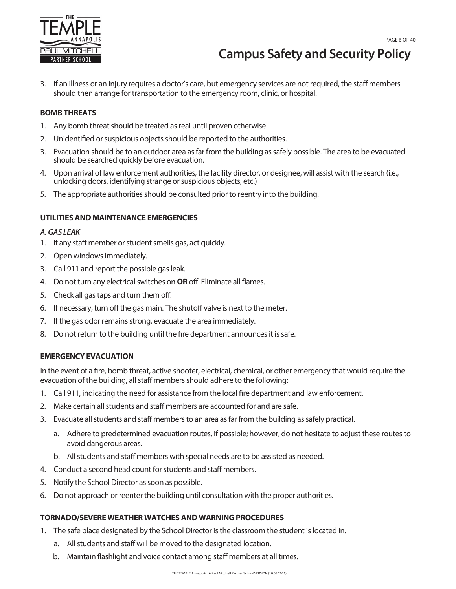

# **Campus Safety and Security Policy**

3. If an illness or an injury requires a doctor's care, but emergency services are not required, the staff members should then arrange for transportation to the emergency room, clinic, or hospital.

#### **BOMB THREATS**

- 1. Any bomb threat should be treated as real until proven otherwise.
- 2. Unidentified or suspicious objects should be reported to the authorities.
- 3. Evacuation should be to an outdoor area as far from the building as safely possible. The area to be evacuated should be searched quickly before evacuation.
- 4. Upon arrival of law enforcement authorities, the facility director, or designee, will assist with the search (i.e., unlocking doors, identifying strange or suspicious objects, etc.)
- 5. The appropriate authorities should be consulted prior to reentry into the building.

#### **UTILITIES AND MAINTENANCE EMERGENCIES**

#### *A. GAS LEAK*

- 1. If any staff member or student smells gas, act quickly.
- 2. Open windows immediately.
- 3. Call 911 and report the possible gas leak.
- 4. Do not turn any electrical switches on **OR** off. Eliminate all flames.
- 5. Check all gas taps and turn them off.
- 6. If necessary, turn off the gas main. The shutoff valve is next to the meter.
- 7. If the gas odor remains strong, evacuate the area immediately.
- 8. Do not return to the building until the fire department announces it is safe.

#### **EMERGENCY EVACUATION**

In the event of a fire, bomb threat, active shooter, electrical, chemical, or other emergency that would require the evacuation of the building, all staff members should adhere to the following:

- 1. Call 911, indicating the need for assistance from the local fire department and law enforcement.
- 2. Make certain all students and staff members are accounted for and are safe.
- 3. Evacuate all students and staff members to an area as far from the building as safely practical.
	- a. Adhere to predetermined evacuation routes, if possible; however, do not hesitate to adjust these routes to avoid dangerous areas.
	- b. All students and staff members with special needs are to be assisted as needed.
- 4. Conduct a second head count for students and staff members.
- 5. Notify the School Director as soon as possible.
- 6. Do not approach or reenter the building until consultation with the proper authorities.

#### **TORNADO/SEVERE WEATHER WATCHES AND WARNING PROCEDURES**

- 1. The safe place designated by the School Director is the classroom the student is located in.
	- a. All students and staff will be moved to the designated location.
	- b. Maintain flashlight and voice contact among staff members at all times.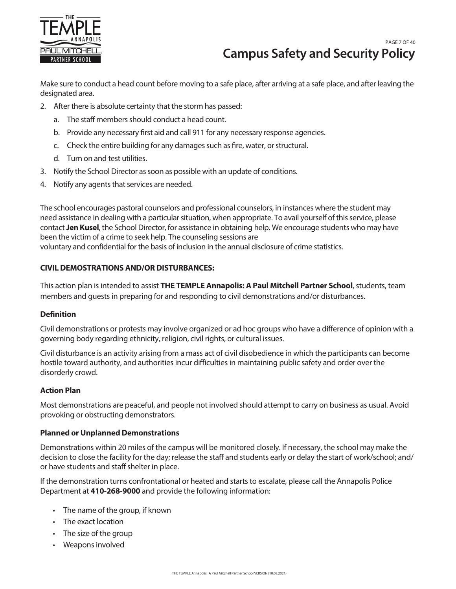

# **Campus Safety and Security Policy** PAGE 7 OF 40

Make sure to conduct a head count before moving to a safe place, after arriving at a safe place, and after leaving the designated area.

- 2. After there is absolute certainty that the storm has passed:
	- a. The staff members should conduct a head count.
	- b. Provide any necessary first aid and call 911 for any necessary response agencies.
	- c. Check the entire building for any damages such as fire, water, or structural.
	- d. Turn on and test utilities.
- 3. Notify the School Director as soon as possible with an update of conditions.
- 4. Notify any agents that services are needed.

The school encourages pastoral counselors and professional counselors, in instances where the student may need assistance in dealing with a particular situation, when appropriate. To avail yourself of this service, please contact **Jen Kusel**, the School Director, for assistance in obtaining help. We encourage students who may have been the victim of a crime to seek help. The counseling sessions are voluntary and confidential for the basis of inclusion in the annual disclosure of crime statistics.

# **CIVIL DEMOSTRATIONS AND/OR DISTURBANCES:**

This action plan is intended to assist **THE TEMPLE Annapolis: A Paul Mitchell Partner School**, students, team members and guests in preparing for and responding to civil demonstrations and/or disturbances.

## **Definition**

Civil demonstrations or protests may involve organized or ad hoc groups who have a difference of opinion with a governing body regarding ethnicity, religion, civil rights, or cultural issues.

Civil disturbance is an activity arising from a mass act of civil disobedience in which the participants can become hostile toward authority, and authorities incur difficulties in maintaining public safety and order over the disorderly crowd.

## **Action Plan**

Most demonstrations are peaceful, and people not involved should attempt to carry on business as usual. Avoid provoking or obstructing demonstrators.

## **Planned or Unplanned Demonstrations**

Demonstrations within 20 miles of the campus will be monitored closely. If necessary, the school may make the decision to close the facility for the day; release the staff and students early or delay the start of work/school; and/ or have students and staff shelter in place.

If the demonstration turns confrontational or heated and starts to escalate, please call the Annapolis Police Department at **410-268-9000** and provide the following information:

- The name of the group, if known
- The exact location
- The size of the group
- Weapons involved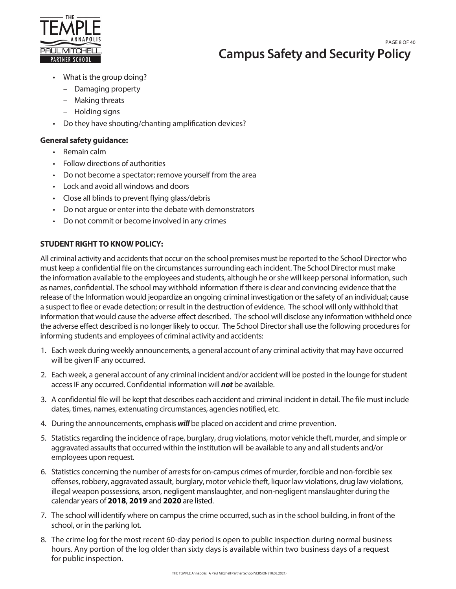

**Campus Safety and Security Policy** PAGE 8 OF 40

- What is the group doing?
	- Damaging property
	- Making threats
	- Holding signs
- Do they have shouting/chanting amplification devices?

### **General safety guidance:**

- Remain calm
- Follow directions of authorities
- Do not become a spectator; remove yourself from the area
- Lock and avoid all windows and doors
- Close all blinds to prevent flying glass/debris
- Do not argue or enter into the debate with demonstrators
- Do not commit or become involved in any crimes

# **STUDENT RIGHT TO KNOW POLICY:**

All criminal activity and accidents that occur on the school premises must be reported to the School Director who must keep a confidential file on the circumstances surrounding each incident. The School Director must make the information available to the employees and students, although he or she will keep personal information, such as names, confidential. The school may withhold information if there is clear and convincing evidence that the release of the Information would jeopardize an ongoing criminal investigation or the safety of an individual; cause a suspect to flee or evade detection; or result in the destruction of evidence. The school will only withhold that information that would cause the adverse effect described. The school will disclose any information withheld once the adverse effect described is no longer likely to occur. The School Director shall use the following procedures for informing students and employees of criminal activity and accidents:

- 1. Each week during weekly announcements, a general account of any criminal activity that may have occurred will be given IF any occurred.
- 2. Each week, a general account of any criminal incident and/or accident will be posted in the lounge for student access IF any occurred. Confidential information will **not** be available.
- 3. A confidential file will be kept that describes each accident and criminal incident in detail. The file must include dates, times, names, extenuating circumstances, agencies notified, etc.
- 4. During the announcements, emphasis *will* be placed on accident and crime prevention.
- 5. Statistics regarding the incidence of rape, burglary, drug violations, motor vehicle theft, murder, and simple or aggravated assaults that occurred within the institution will be available to any and all students and/or employees upon request.
- 6. Statistics concerning the number of arrests for on-campus crimes of murder, forcible and non-forcible sex offenses, robbery, aggravated assault, burglary, motor vehicle theft, liquor law violations, drug law violations, illegal weapon possessions, arson, negligent manslaughter, and non-negligent manslaughter during the calendar years of **2018**, **2019** and **2020** are listed.
- 7. The school will identify where on campus the crime occurred, such as in the school building, in front of the school, or in the parking lot.
- 8. The crime log for the most recent 60-day period is open to public inspection during normal business hours. Any portion of the log older than sixty days is available within two business days of a request for public inspection.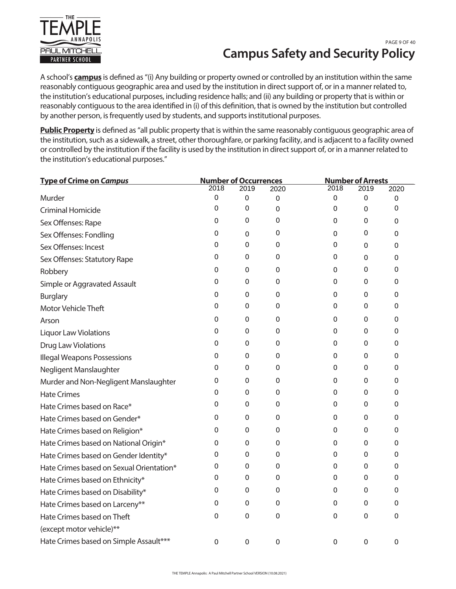

# **Campus Safety and Security Policy** PAGE 9 OF 40

A school's **campus** is defined as "(i) Any building or property owned or controlled by an institution within the same reasonably contiguous geographic area and used by the institution in direct support of, or in a manner related to, the institution's educational purposes, including residence halls; and (ii) any building or property that is within or reasonably contiguous to the area identified in (i) of this definition, that is owned by the institution but controlled by another person, is frequently used by students, and supports institutional purposes.

**Public Property** is defined as "all public property that is within the same reasonably contiguous geographic area of the institution, such as a sidewalk, a street, other thoroughfare, or parking facility, and is adjacent to a facility owned or controlled by the institution if the facility is used by the institution in direct support of, or in a manner related to the institution's educational purposes."

| <b>Type of Crime on Campus</b>           | <b>Number of Occurrences</b> |             | <b>Number of Arrests</b> |      |      |      |
|------------------------------------------|------------------------------|-------------|--------------------------|------|------|------|
|                                          | 2018                         | 2019        | 2020                     | 2018 | 2019 | 2020 |
| Murder                                   | 0                            | 0           | $\pmb{0}$                | 0    | 0    | 0    |
| <b>Criminal Homicide</b>                 | 0                            | 0           | 0                        | 0    | 0    | 0    |
| Sex Offenses: Rape                       | 0                            | $\pmb{0}$   | 0                        | 0    | 0    | 0    |
| Sex Offenses: Fondling                   | 0                            | 0           | 0                        | 0    | 0    | 0    |
| Sex Offenses: Incest                     | 0                            | $\Omega$    | 0                        | 0    | 0    | 0    |
| Sex Offenses: Statutory Rape             | 0                            | 0           | 0                        | 0    | 0    | 0    |
| Robbery                                  | 0                            | 0           | 0                        | 0    | 0    | 0    |
| Simple or Aggravated Assault             | 0                            | 0           | 0                        | 0    | 0    | 0    |
| <b>Burglary</b>                          | 0                            | $\Omega$    | 0                        | 0    | 0    | 0    |
| Motor Vehicle Theft                      | 0                            | 0           | 0                        | 0    | 0    | 0    |
| Arson                                    | 0                            | 0           | 0                        | 0    | 0    | 0    |
| <b>Liquor Law Violations</b>             | 0                            | 0           | 0                        | 0    | 0    | 0    |
| Drug Law Violations                      | 0                            | $\Omega$    | 0                        | 0    | 0    | 0    |
| <b>Illegal Weapons Possessions</b>       | 0                            | 0           | 0                        | 0    | 0    | 0    |
| Negligent Manslaughter                   | 0                            | 0           | 0                        | 0    | 0    | 0    |
| Murder and Non-Negligent Manslaughter    | 0                            | 0           | 0                        | 0    | 0    | 0    |
| <b>Hate Crimes</b>                       | 0                            | 0           | 0                        | 0    | 0    | 0    |
| Hate Crimes based on Race*               | 0                            | 0           | 0                        | 0    | 0    | 0    |
| Hate Crimes based on Gender*             | 0                            | 0           | 0                        | 0    | 0    | 0    |
| Hate Crimes based on Religion*           | 0                            | 0           | 0                        | 0    | 0    | 0    |
| Hate Crimes based on National Origin*    | 0                            | $\Omega$    | 0                        | 0    | 0    | 0    |
| Hate Crimes based on Gender Identity*    | 0                            | 0           | 0                        | 0    | 0    | 0    |
| Hate Crimes based on Sexual Orientation* | 0                            | 0           | 0                        | 0    | 0    | 0    |
| Hate Crimes based on Ethnicity*          | 0                            | 0           | 0                        | 0    | 0    | 0    |
| Hate Crimes based on Disability*         | 0                            | 0           | 0                        | 0    | 0    | 0    |
| Hate Crimes based on Larceny**           | 0                            | 0           | 0                        | 0    | 0    | 0    |
| Hate Crimes based on Theft               | 0                            | $\mathbf 0$ | 0                        | 0    | 0    | 0    |
| (except motor vehicle)**                 |                              |             |                          |      |      |      |
| Hate Crimes based on Simple Assault***   | $\Omega$                     | 0           | 0                        | 0    | 0    | 0    |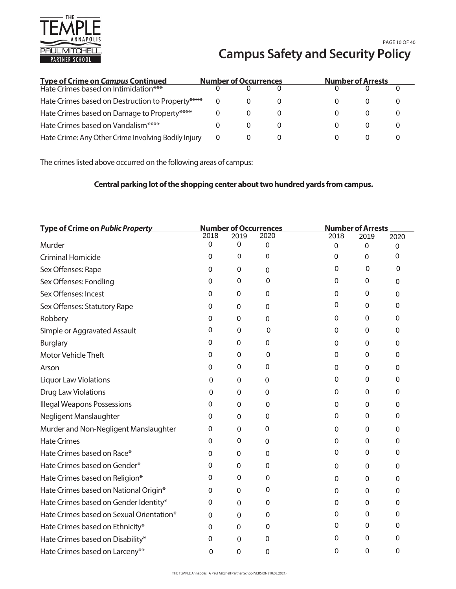

# **Campus Safety and Security Policy** PAGE 10 OF 40

| <b>Type of Crime on Campus Continued</b>            | <b>Number of Occurrences</b> |          | <b>Number of Arrests</b> |  |
|-----------------------------------------------------|------------------------------|----------|--------------------------|--|
| Hate Crimes based on Intimidation***                |                              |          |                          |  |
| Hate Crimes based on Destruction to Property****    |                              |          |                          |  |
| Hate Crimes based on Damage to Property****         |                              |          |                          |  |
| Hate Crimes based on Vandalism****                  |                              | $\theta$ |                          |  |
| Hate Crime: Any Other Crime Involving Bodily Injury | 0                            |          |                          |  |

The crimes listed above occurred on the following areas of campus:

# **Central parking lot of the shopping center about two hundred yards from campus.**

| <b>Type of Crime on Public Property</b>  | <b>Number of Occurrences</b> |      | <b>Number of Arrests</b> |      |             |      |
|------------------------------------------|------------------------------|------|--------------------------|------|-------------|------|
|                                          | 2018                         | 2019 | 2020                     | 2018 | 2019        | 2020 |
| Murder                                   | 0                            | 0    | 0                        | 0    | 0           | 0    |
| <b>Criminal Homicide</b>                 | 0                            | 0    | 0                        | 0    | 0           | 0    |
| Sex Offenses: Rape                       | 0                            | 0    | $\mathbf 0$              | 0    | 0           | 0    |
| Sex Offenses: Fondling                   | 0                            | 0    | 0                        | 0    | 0           | 0    |
| Sex Offenses: Incest                     | 0                            | 0    | $\mathbf 0$              | 0    | 0           | 0    |
| Sex Offenses: Statutory Rape             | 0                            | 0    | 0                        | 0    | 0           | 0    |
| Robbery                                  | 0                            | 0    | $\mathbf 0$              | 0    | 0           | 0    |
| Simple or Aggravated Assault             | 0                            | 0    | 0                        | 0    | 0           | 0    |
| <b>Burglary</b>                          | 0                            | 0    | $\mathbf 0$              | 0    | 0           | 0    |
| <b>Motor Vehicle Theft</b>               | 0                            | 0    | 0                        | 0    | 0           | 0    |
| Arson                                    | 0                            | 0    | 0                        | 0    | 0           | 0    |
| <b>Liquor Law Violations</b>             | 0                            | 0    | 0                        | 0    | 0           | 0    |
| <b>Drug Law Violations</b>               | 0                            | 0    | 0                        | 0    | 0           | 0    |
| <b>Illegal Weapons Possessions</b>       | 0                            | 0    | 0                        | 0    | 0           | 0    |
| Negligent Manslaughter                   | 0                            | 0    | 0                        | 0    | 0           | 0    |
| Murder and Non-Negligent Manslaughter    | 0                            | 0    | 0                        | 0    | 0           | 0    |
| <b>Hate Crimes</b>                       | 0                            | 0    | 0                        | 0    | 0           | 0    |
| Hate Crimes based on Race*               | 0                            | 0    | $\mathbf 0$              | 0    | $\mathbf 0$ | 0    |
| Hate Crimes based on Gender*             | 0                            | 0    | 0                        | 0    | 0           | 0    |
| Hate Crimes based on Religion*           | 0                            | 0    | 0                        | 0    | 0           | 0    |
| Hate Crimes based on National Origin*    | 0                            | 0    | 0                        | 0    | 0           | 0    |
| Hate Crimes based on Gender Identity*    | 0                            | 0    | 0                        | 0    | 0           | 0    |
| Hate Crimes based on Sexual Orientation* | 0                            | 0    | 0                        | 0    | 0           | 0    |
| Hate Crimes based on Ethnicity*          | 0                            | 0    | 0                        | 0    | 0           | 0    |
| Hate Crimes based on Disability*         | 0                            | 0    | 0                        | 0    | 0           | 0    |
| Hate Crimes based on Larceny**           | 0                            | 0    | 0                        | 0    | 0           | 0    |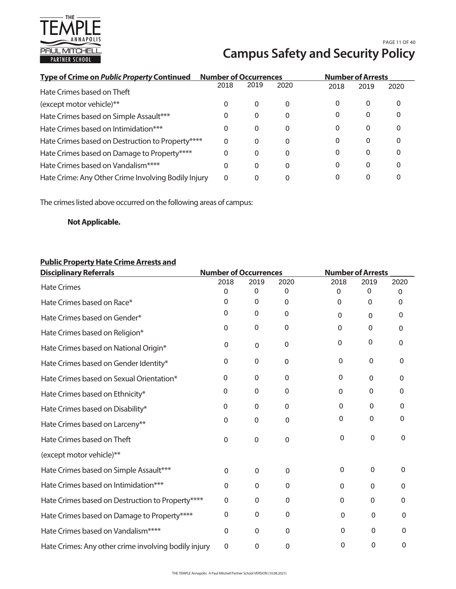

# **Campus Safety and Security Policy** PAGE 11 OF 40

| <b>Type of Crime on Public Property Continued</b>   | <b>Number of Occurrences</b> |      |      | <b>Number of Arrests</b> |      |      |
|-----------------------------------------------------|------------------------------|------|------|--------------------------|------|------|
| Hate Crimes based on Theft                          | 2018                         | 2019 | 2020 | 2018                     | 2019 | 2020 |
| (except motor vehicle)**                            | 0                            | 0    | 0    | 0                        | 0    | 0    |
| Hate Crimes based on Simple Assault***              | 0                            | 0    | 0    | 0                        | 0    | 0    |
| Hate Crimes based on Intimidation***                | 0                            | 0    | 0    | 0                        | 0    | 0    |
| Hate Crimes based on Destruction to Property****    | 0                            | 0    | 0    | 0                        | 0    |      |
| Hate Crimes based on Damage to Property****         | 0                            | 0    | 0    | 0                        | 0    |      |
| Hate Crimes based on Vandalism****                  | 0                            | 0    | 0    | 0                        | 0    | 0    |
| Hate Crime: Any Other Crime Involving Bodily Injury | 0                            | 0    |      |                          | 0    |      |

The crimes listed above occurred on the following areas of campus:

# **Not Applicable.**

# **Public Property Hate Crime Arrests and**

| <b>Disciplinary Referrals</b>                        | <b>Number of Occurrences</b> |             |             | <b>Number of Arrests</b> |             |      |
|------------------------------------------------------|------------------------------|-------------|-------------|--------------------------|-------------|------|
| <b>Hate Crimes</b>                                   | 2018                         | 2019        | 2020        | 2018                     | 2019        | 2020 |
|                                                      | 0                            | 0           | 0           | 0                        | $\Omega$    | 0    |
| Hate Crimes based on Race*                           | 0                            | 0           | $\mathbf 0$ | $\Omega$                 | $\Omega$    | 0    |
| Hate Crimes based on Gender*                         | 0                            | 0           | $\mathbf 0$ | $\Omega$                 | $\Omega$    | 0    |
| Hate Crimes based on Religion*                       | 0                            | 0           | 0           | $\Omega$                 | $\Omega$    | 0    |
| Hate Crimes based on National Origin*                | 0                            | $\Omega$    | 0           | 0                        | 0           | 0    |
| Hate Crimes based on Gender Identity*                | 0                            | 0           | 0           | 0                        | $\Omega$    | 0    |
| Hate Crimes based on Sexual Orientation*             | $\Omega$                     | $\mathbf 0$ | 0           | 0                        | 0           | 0    |
| Hate Crimes based on Ethnicity*                      | 0                            | 0           | 0           | 0                        | 0           | 0    |
| Hate Crimes based on Disability*                     | 0                            | 0           | 0           | 0                        | 0           | 0    |
| Hate Crimes based on Larceny**                       | 0                            | 0           | 0           | 0                        | 0           | 0    |
| Hate Crimes based on Theft                           | 0                            | 0           | $\mathbf 0$ | 0                        | 0           | 0    |
| (except motor vehicle)**                             |                              |             |             |                          |             |      |
| Hate Crimes based on Simple Assault***               | $\Omega$                     | $\Omega$    | $\Omega$    | $\mathbf 0$              | $\mathbf 0$ | 0    |
| Hate Crimes based on Intimidation***                 | $\Omega$                     | $\Omega$    | $\Omega$    | $\Omega$                 | $\Omega$    | 0    |
| Hate Crimes based on Destruction to Property****     | 0                            | 0           | $\Omega$    | 0                        | $\Omega$    | 0    |
| Hate Crimes based on Damage to Property****          | 0                            | $\mathbf 0$ | $\mathbf 0$ | 0                        | 0           | 0    |
| Hate Crimes based on Vandalism****                   | $\Omega$                     | $\Omega$    | $\Omega$    | 0                        | 0           | 0    |
| Hate Crimes: Any other crime involving bodily injury | 0                            | 0           | 0           | 0                        | 0           | 0    |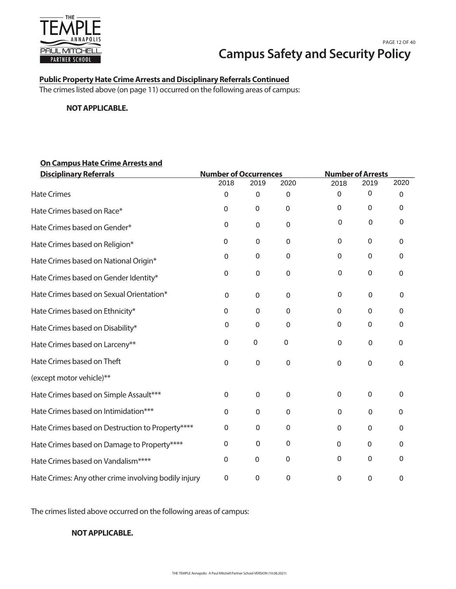

# **Public Property Hate Crime Arrests and Disciplinary Referrals Continued**

The crimes listed above (on page 11) occurred on the following areas of campus:

#### **NOT APPLICABLE.**

# **On Campus Hate Crime Arrests and**

| <b>Disciplinary Referrals</b>                        | <b>Number of Occurrences</b> |                  |             | <b>Number of Arrests</b> |             |             |
|------------------------------------------------------|------------------------------|------------------|-------------|--------------------------|-------------|-------------|
|                                                      | 2018                         | 2019             | 2020        | 2018                     | 2019        | 2020        |
| <b>Hate Crimes</b>                                   | 0                            | $\mathbf 0$      | 0           | $\mathbf 0$              | 0           | 0           |
| Hate Crimes based on Race*                           | 0                            | $\boldsymbol{0}$ | $\pmb{0}$   | $\pmb{0}$                | 0           | 0           |
| Hate Crimes based on Gender*                         | $\pmb{0}$                    | $\mathbf 0$      | 0           | 0                        | 0           | 0           |
| Hate Crimes based on Religion*                       | $\boldsymbol{0}$             | $\pmb{0}$        | $\pmb{0}$   | $\pmb{0}$                | 0           | 0           |
| Hate Crimes based on National Origin*                | 0                            | 0                | 0           | 0                        | 0           | 0           |
| Hate Crimes based on Gender Identity*                | $\pmb{0}$                    | $\boldsymbol{0}$ | $\pmb{0}$   | $\mathbf 0$              | 0           | 0           |
| Hate Crimes based on Sexual Orientation*             | $\boldsymbol{0}$             | $\mathbf 0$      | 0           | $\mathbf 0$              | 0           | $\mathbf 0$ |
| Hate Crimes based on Ethnicity*                      | 0                            | $\mathbf 0$      | 0           | $\mathbf 0$              | $\Omega$    | 0           |
| Hate Crimes based on Disability*                     | 0                            | $\mathbf 0$      | $\mathbf 0$ | $\boldsymbol{0}$         | 0           | 0           |
| Hate Crimes based on Larceny**                       | $\pmb{0}$                    | 0                | $\pmb{0}$   | 0                        | 0           | 0           |
| Hate Crimes based on Theft                           | $\mathsf 0$                  | $\boldsymbol{0}$ | $\mathbf 0$ | $\boldsymbol{0}$         | 0           | $\mathbf 0$ |
| (except motor vehicle)**                             |                              |                  |             |                          |             |             |
| Hate Crimes based on Simple Assault***               | 0                            | $\mathbf 0$      | 0           | 0                        | 0           | 0           |
| Hate Crimes based on Intimidation***                 | 0                            | $\mathbf 0$      | 0           | $\mathbf 0$              | $\mathbf 0$ | 0           |
| Hate Crimes based on Destruction to Property****     | 0                            | 0                | $\pmb{0}$   | $\mathbf 0$              | 0           | 0           |
| Hate Crimes based on Damage to Property****          | 0                            | 0                | 0           | 0                        | $\Omega$    | 0           |
| Hate Crimes based on Vandalism****                   | 0                            | $\pmb{0}$        | $\pmb{0}$   | $\boldsymbol{0}$         | 0           | 0           |
| Hate Crimes: Any other crime involving bodily injury | 0                            | $\pmb{0}$        | 0           | 0                        | 0           | 0           |

The crimes listed above occurred on the following areas of campus:

# **NOT APPLICABLE.**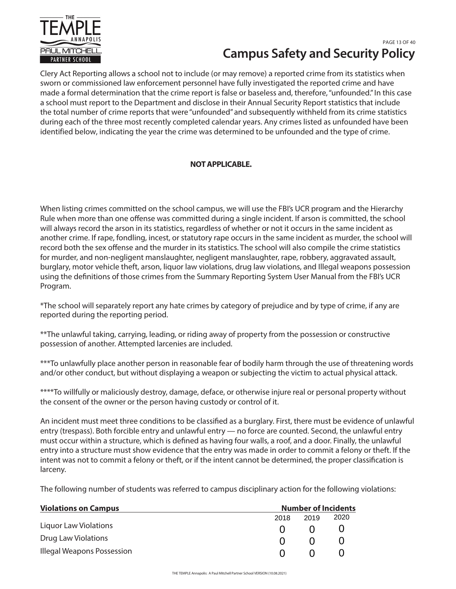

# **Campus Safety and Security Policy** PAGE 13 OF 40

Clery Act Reporting allows a school not to include (or may remove) a reported crime from its statistics when sworn or commissioned law enforcement personnel have fully investigated the reported crime and have made a formal determination that the crime report is false or baseless and, therefore, "unfounded." In this case a school must report to the Department and disclose in their Annual Security Report statistics that include the total number of crime reports that were "unfounded" and subsequently withheld from its crime statistics during each of the three most recently completed calendar years. Any crimes listed as unfounded have been identified below, indicating the year the crime was determined to be unfounded and the type of crime.

# **NOT APPLICABLE.**

When listing crimes committed on the school campus, we will use the FBI's UCR program and the Hierarchy Rule when more than one offense was committed during a single incident. If arson is committed, the school will always record the arson in its statistics, regardless of whether or not it occurs in the same incident as another crime. If rape, fondling, incest, or statutory rape occurs in the same incident as murder, the school will record both the sex offense and the murder in its statistics. The school will also compile the crime statistics for murder, and non-negligent manslaughter, negligent manslaughter, rape, robbery, aggravated assault, burglary, motor vehicle theft, arson, liquor law violations, drug law violations, and Illegal weapons possession using the definitions of those crimes from the Summary Reporting System User Manual from the FBI's UCR Program.

\*The school will separately report any hate crimes by category of prejudice and by type of crime, if any are reported during the reporting period.

\*\*The unlawful taking, carrying, leading, or riding away of property from the possession or constructive possession of another. Attempted larcenies are included.

\*\*\*To unlawfully place another person in reasonable fear of bodily harm through the use of threatening words and/or other conduct, but without displaying a weapon or subjecting the victim to actual physical attack.

\*\*\*\*To willfully or maliciously destroy, damage, deface, or otherwise injure real or personal property without the consent of the owner or the person having custody or control of it.

An incident must meet three conditions to be classified as a burglary. First, there must be evidence of unlawful entry (trespass). Both forcible entry and unlawful entry — no force are counted. Second, the unlawful entry must occur within a structure, which is defined as having four walls, a roof, and a door. Finally, the unlawful entry into a structure must show evidence that the entry was made in order to commit a felony or theft. If the intent was not to commit a felony or theft, or if the intent cannot be determined, the proper classification is larceny.

The following number of students was referred to campus disciplinary action for the following violations:

| <b>Violations on Campus</b>  |              | <b>Number of Incidents</b> |              |  |  |
|------------------------------|--------------|----------------------------|--------------|--|--|
|                              | 2018         | 2019                       | 2020         |  |  |
| <b>Liquor Law Violations</b> | $\mathbf{U}$ | $\Omega$                   | $\mathbf{U}$ |  |  |
| Drug Law Violations          | $\Omega$     | $\Omega$                   | $\mathbf{U}$ |  |  |
| Illegal Weapons Possession   | $\mathbf{U}$ | $\Omega$                   |              |  |  |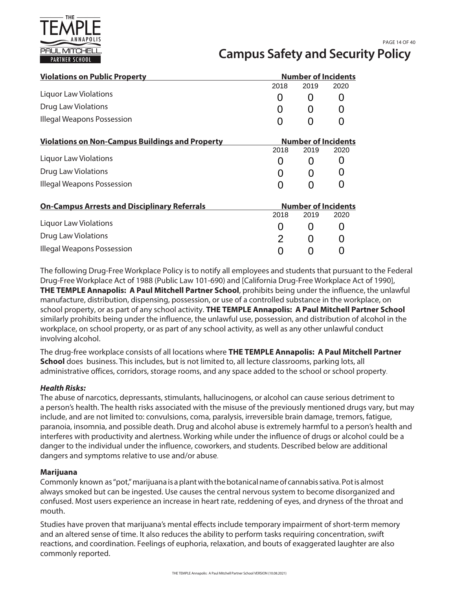

# **Campus Safety and Security Policy** PAGE 14 OF 40

| <b>Violations on Public Property</b>                   | <b>Number of Incidents</b> |                            |      |
|--------------------------------------------------------|----------------------------|----------------------------|------|
|                                                        | 2018                       | 2019                       | 2020 |
| Liquor Law Violations                                  | 0                          | O                          |      |
| <b>Drug Law Violations</b>                             |                            | O                          |      |
| Illegal Weapons Possession                             |                            |                            |      |
| <b>Violations on Non-Campus Buildings and Property</b> |                            | <b>Number of Incidents</b> |      |
|                                                        | 2018                       | 2019                       | 2020 |
| Liquor Law Violations                                  | 0                          |                            |      |
| Drug Law Violations                                    |                            | O                          |      |
| <b>Illegal Weapons Possession</b>                      |                            |                            |      |
| <b>On-Campus Arrests and Disciplinary Referrals</b>    |                            | <b>Number of Incidents</b> |      |
|                                                        | 2018                       | 2019                       | 2020 |
| Liquor Law Violations                                  | 0                          | 0                          |      |
| <b>Drug Law Violations</b>                             | 2                          | O                          |      |
| Illegal Weapons Possession                             |                            |                            |      |

The following Drug-Free Workplace Policy is to notify all employees and students that pursuant to the Federal Drug-Free Workplace Act of 1988 (Public Law 101-690) and [California Drug-Free Workplace Act of 1990], **THE TEMPLE Annapolis: A Paul Mitchell Partner School**, prohibits being under the influence, the unlawful manufacture, distribution, dispensing, possession, or use of a controlled substance in the workplace, on school property, or as part of any school activity. **THE TEMPLE Annapolis: A Paul Mitchell Partner School** similarly prohibits being under the influence, the unlawful use, possession, and distribution of alcohol in the workplace, on school property, or as part of any school activity, as well as any other unlawful conduct involving alcohol.

The drug-free workplace consists of all locations where **THE TEMPLE Annapolis: A Paul Mitchell Partner School** does business. This includes, but is not limited to, all lecture classrooms, parking lots, all administrative offices, corridors, storage rooms, and any space added to the school or school property.

#### *Health Risks:*

The abuse of narcotics, depressants, stimulants, hallucinogens, or alcohol can cause serious detriment to a person's health. The health risks associated with the misuse of the previously mentioned drugs vary, but may include, and are not limited to: convulsions, coma, paralysis, irreversible brain damage, tremors, fatigue, paranoia, insomnia, and possible death. Drug and alcohol abuse is extremely harmful to a person's health and interferes with productivity and alertness. Working while under the influence of drugs or alcohol could be a danger to the individual under the influence, coworkers, and students. Described below are additional dangers and symptoms relative to use and/or abuse.

#### **Marijuana**

Commonly known as "pot," marijuana is a plant with the botanical name of cannabis sativa. Pot is almost always smoked but can be ingested. Use causes the central nervous system to become disorganized and confused. Most users experience an increase in heart rate, reddening of eyes, and dryness of the throat and mouth.

Studies have proven that marijuana's mental effects include temporary impairment of short-term memory and an altered sense of time. It also reduces the ability to perform tasks requiring concentration, swift reactions, and coordination. Feelings of euphoria, relaxation, and bouts of exaggerated laughter are also commonly reported.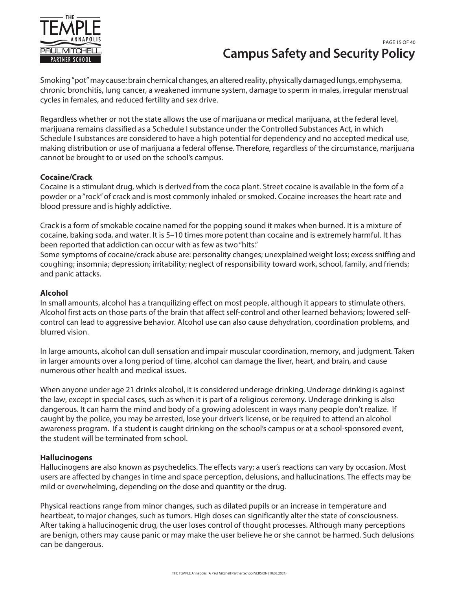

# **Campus Safety and Security Policy** PAGE 15 OF 40

Smoking "pot" may cause: brain chemical changes, an altered reality, physically damaged lungs, emphysema, chronic bronchitis, lung cancer, a weakened immune system, damage to sperm in males, irregular menstrual cycles in females, and reduced fertility and sex drive.

Regardless whether or not the state allows the use of marijuana or medical marijuana, at the federal level, marijuana remains classified as a Schedule I substance under the Controlled Substances Act, in which Schedule I substances are considered to have a high potential for dependency and no accepted medical use, making distribution or use of marijuana a federal offense. Therefore, regardless of the circumstance, marijuana cannot be brought to or used on the school's campus.

#### **Cocaine/Crack**

Cocaine is a stimulant drug, which is derived from the coca plant. Street cocaine is available in the form of a powder or a "rock" of crack and is most commonly inhaled or smoked. Cocaine increases the heart rate and blood pressure and is highly addictive.

Crack is a form of smokable cocaine named for the popping sound it makes when burned. It is a mixture of cocaine, baking soda, and water. It is 5–10 times more potent than cocaine and is extremely harmful. It has been reported that addiction can occur with as few as two "hits."

Some symptoms of cocaine/crack abuse are: personality changes; unexplained weight loss; excess sniffing and coughing; insomnia; depression; irritability; neglect of responsibility toward work, school, family, and friends; and panic attacks.

#### **Alcohol**

In small amounts, alcohol has a tranquilizing effect on most people, although it appears to stimulate others. Alcohol first acts on those parts of the brain that affect self-control and other learned behaviors; lowered selfcontrol can lead to aggressive behavior. Alcohol use can also cause dehydration, coordination problems, and blurred vision.

In large amounts, alcohol can dull sensation and impair muscular coordination, memory, and judgment. Taken in larger amounts over a long period of time, alcohol can damage the liver, heart, and brain, and cause numerous other health and medical issues.

When anyone under age 21 drinks alcohol, it is considered underage drinking. Underage drinking is against the law, except in special cases, such as when it is part of a religious ceremony. Underage drinking is also dangerous. It can harm the mind and body of a growing adolescent in ways many people don't realize. If caught by the police, you may be arrested, lose your driver's license, or be required to attend an alcohol awareness program. If a student is caught drinking on the school's campus or at a school-sponsored event, the student will be terminated from school.

#### **Hallucinogens**

Hallucinogens are also known as psychedelics. The effects vary; a user's reactions can vary by occasion. Most users are affected by changes in time and space perception, delusions, and hallucinations. The effects may be mild or overwhelming, depending on the dose and quantity or the drug.

Physical reactions range from minor changes, such as dilated pupils or an increase in temperature and heartbeat, to major changes, such as tumors. High doses can significantly alter the state of consciousness. After taking a hallucinogenic drug, the user loses control of thought processes. Although many perceptions are benign, others may cause panic or may make the user believe he or she cannot be harmed. Such delusions can be dangerous.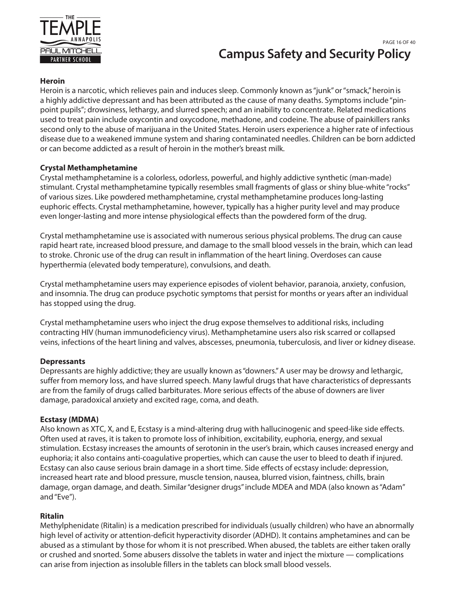

# **Campus Safety and Security Policy** PAGE 16 OF 40

## **Heroin**

Heroin is a narcotic, which relieves pain and induces sleep. Commonly known as "junk" or "smack," heroin is a highly addictive depressant and has been attributed as the cause of many deaths. Symptoms include "pinpoint pupils"; drowsiness, lethargy, and slurred speech; and an inability to concentrate. Related medications used to treat pain include oxycontin and oxycodone, methadone, and codeine. The abuse of painkillers ranks second only to the abuse of marijuana in the United States. Heroin users experience a higher rate of infectious disease due to a weakened immune system and sharing contaminated needles. Children can be born addicted or can become addicted as a result of heroin in the mother's breast milk.

## **Crystal Methamphetamine**

Crystal methamphetamine is a colorless, odorless, powerful, and highly addictive synthetic (man-made) stimulant. Crystal methamphetamine typically resembles small fragments of glass or shiny blue-white "rocks" of various sizes. Like powdered methamphetamine, crystal methamphetamine produces long-lasting euphoric effects. Crystal methamphetamine, however, typically has a higher purity level and may produce even longer-lasting and more intense physiological effects than the powdered form of the drug.

Crystal methamphetamine use is associated with numerous serious physical problems. The drug can cause rapid heart rate, increased blood pressure, and damage to the small blood vessels in the brain, which can lead to stroke. Chronic use of the drug can result in inflammation of the heart lining. Overdoses can cause hyperthermia (elevated body temperature), convulsions, and death.

Crystal methamphetamine users may experience episodes of violent behavior, paranoia, anxiety, confusion, and insomnia. The drug can produce psychotic symptoms that persist for months or years after an individual has stopped using the drug.

Crystal methamphetamine users who inject the drug expose themselves to additional risks, including contracting HIV (human immunodeficiency virus). Methamphetamine users also risk scarred or collapsed veins, infections of the heart lining and valves, abscesses, pneumonia, tuberculosis, and liver or kidney disease.

## **Depressants**

Depressants are highly addictive; they are usually known as "downers." A user may be drowsy and lethargic, suffer from memory loss, and have slurred speech. Many lawful drugs that have characteristics of depressants are from the family of drugs called barbiturates. More serious effects of the abuse of downers are liver damage, paradoxical anxiety and excited rage, coma, and death.

## **Ecstasy (MDMA)**

Also known as XTC, X, and E, Ecstasy is a mind-altering drug with hallucinogenic and speed-like side effects. Often used at raves, it is taken to promote loss of inhibition, excitability, euphoria, energy, and sexual stimulation. Ecstasy increases the amounts of serotonin in the user's brain, which causes increased energy and euphoria; it also contains anti-coagulative properties, which can cause the user to bleed to death if injured. Ecstasy can also cause serious brain damage in a short time. Side effects of ecstasy include: depression, increased heart rate and blood pressure, muscle tension, nausea, blurred vision, faintness, chills, brain damage, organ damage, and death. Similar "designer drugs" include MDEA and MDA (also known as "Adam" and "Eve").

## **Ritalin**

Methylphenidate (Ritalin) is a medication prescribed for individuals (usually children) who have an abnormally high level of activity or attention-deficit hyperactivity disorder (ADHD). It contains amphetamines and can be abused as a stimulant by those for whom it is not prescribed. When abused, the tablets are either taken orally or crushed and snorted. Some abusers dissolve the tablets in water and inject the mixture — complications can arise from injection as insoluble fillers in the tablets can block small blood vessels.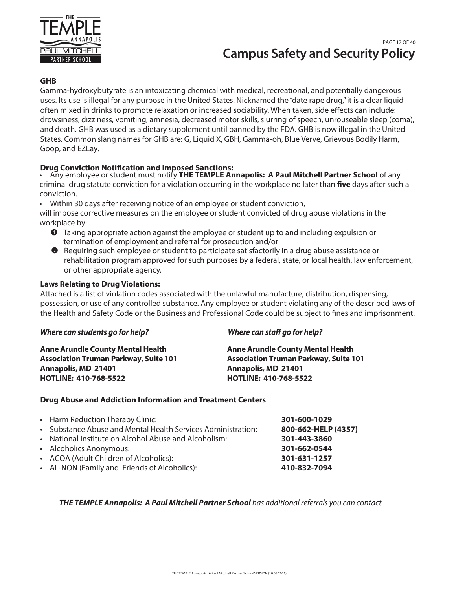

# **Campus Safety and Security Policy** PAGE 17 OF 40

## **GHB**

Gamma-hydroxybutyrate is an intoxicating chemical with medical, recreational, and potentially dangerous uses. Its use is illegal for any purpose in the United States. Nicknamed the "date rape drug," it is a clear liquid often mixed in drinks to promote relaxation or increased sociability. When taken, side effects can include: drowsiness, dizziness, vomiting, amnesia, decreased motor skills, slurring of speech, unrouseable sleep (coma), and death. GHB was used as a dietary supplement until banned by the FDA. GHB is now illegal in the United States. Common slang names for GHB are: G, Liquid X, GBH, Gamma-oh, Blue Verve, Grievous Bodily Harm, Goop, and EZLay.

## **Drug Conviction Notification and Imposed Sanctions:**

• Any employee or student must notify **THE TEMPLE Annapolis: A Paul Mitchell Partner School** of any criminal drug statute conviction for a violation occurring in the workplace no later than **five** days after such a conviction.

• Within 30 days after receiving notice of an employee or student conviction,

will impose corrective measures on the employee or student convicted of drug abuse violations in the workplace by:

- Taking appropriate action against the employee or student up to and including expulsion or termination of employment and referral for prosecution and/or
- $\bullet$  Requiring such employee or student to participate satisfactorily in a drug abuse assistance or rehabilitation program approved for such purposes by a federal, state, or local health, law enforcement, or other appropriate agency.

#### **Laws Relating to Drug Violations:**

Attached is a list of violation codes associated with the unlawful manufacture, distribution, dispensing, possession, or use of any controlled substance. Any employee or student violating any of the described laws of the Health and Safety Code or the Business and Professional Code could be subject to fines and imprisonment.

| Where can students go for help?              | Where can staff go for help?                 |  |  |  |
|----------------------------------------------|----------------------------------------------|--|--|--|
| <b>Anne Arundle County Mental Health</b>     | <b>Anne Arundle County Mental Health</b>     |  |  |  |
| <b>Association Truman Parkway, Suite 101</b> | <b>Association Truman Parkway, Suite 101</b> |  |  |  |
| <b>Annapolis, MD 21401</b>                   | <b>Annapolis, MD 21401</b>                   |  |  |  |
| <b>HOTLINE: 410-768-5522</b>                 | <b>HOTLINE: 410-768-5522</b>                 |  |  |  |

#### **Drug Abuse and Addiction Information and Treatment Centers**

| • Alcoholics Anonymous:<br>301-662-0544<br>• ACOA (Adult Children of Alcoholics):<br>301-631-1257<br>• AL-NON (Family and Friends of Alcoholics):<br>410-832-7094 | • Harm Reduction Therapy Clinic:<br>• Substance Abuse and Mental Health Services Administration:<br>• National Institute on Alcohol Abuse and Alcoholism: | 301-600-1029<br>800-662-HELP (4357)<br>301-443-3860 |
|-------------------------------------------------------------------------------------------------------------------------------------------------------------------|-----------------------------------------------------------------------------------------------------------------------------------------------------------|-----------------------------------------------------|
|                                                                                                                                                                   |                                                                                                                                                           |                                                     |
|                                                                                                                                                                   |                                                                                                                                                           |                                                     |

**THE TEMPLE Annapolis: A Paul Mitchell Partner School** has additional referrals you can contact.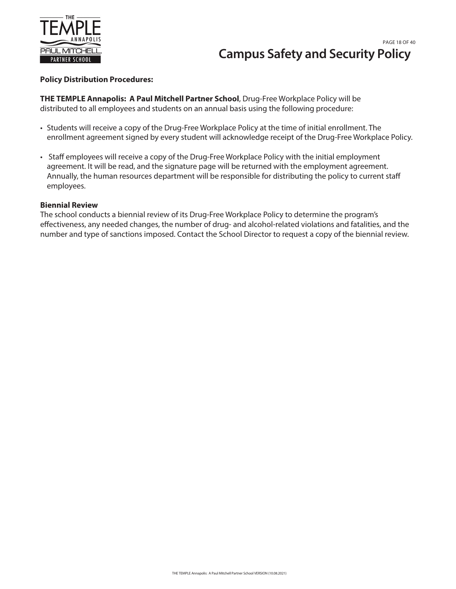

#### **Policy Distribution Procedures:**

**THE TEMPLE Annapolis: A Paul Mitchell Partner School**, Drug-Free Workplace Policy will be distributed to all employees and students on an annual basis using the following procedure:

- Students will receive a copy of the Drug-Free Workplace Policy at the time of initial enrollment. The enrollment agreement signed by every student will acknowledge receipt of the Drug-Free Workplace Policy.
- Staff employees will receive a copy of the Drug-Free Workplace Policy with the initial employment agreement. It will be read, and the signature page will be returned with the employment agreement. Annually, the human resources department will be responsible for distributing the policy to current staff employees.

#### **Biennial Review**

The school conducts a biennial review of its Drug-Free Workplace Policy to determine the program's effectiveness, any needed changes, the number of drug- and alcohol-related violations and fatalities, and the number and type of sanctions imposed. Contact the School Director to request a copy of the biennial review.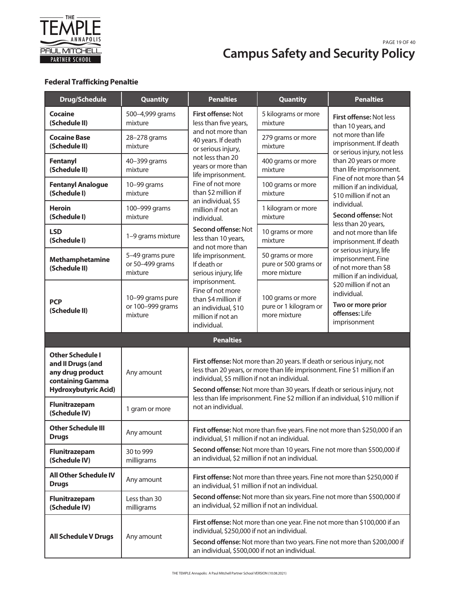

#### **Campus Safety and Security Policy** PAGE 19 OF 40 **Drug-Free Workplace Policy Point**

# **Federal Trafficking Penaltie**

| <b>Drug/Schedule</b>                                                                                                | <b>Quantity</b>                                 | <b>Penalties</b>                                                                                                                                                                                                                                             | <b>Quantity</b>                                                                                                                                                                                                                 | <b>Penalties</b>                                                                                   |  |  |
|---------------------------------------------------------------------------------------------------------------------|-------------------------------------------------|--------------------------------------------------------------------------------------------------------------------------------------------------------------------------------------------------------------------------------------------------------------|---------------------------------------------------------------------------------------------------------------------------------------------------------------------------------------------------------------------------------|----------------------------------------------------------------------------------------------------|--|--|
| <b>Cocaine</b><br>(Schedule II)                                                                                     | 500-4,999 grams<br>mixture                      | First offense: Not<br>less than five years,                                                                                                                                                                                                                  | 5 kilograms or more<br>mixture                                                                                                                                                                                                  | First offense: Not less<br>than 10 years, and                                                      |  |  |
| <b>Cocaine Base</b><br>(Schedule II)                                                                                | 28-278 grams<br>mixture                         | and not more than<br>40 years. If death<br>or serious injury,                                                                                                                                                                                                | 279 grams or more<br>mixture                                                                                                                                                                                                    | not more than life<br>imprisonment. If death<br>or serious injury, not less                        |  |  |
| <b>Fentanyl</b><br>(Schedule II)                                                                                    | 40-399 grams<br>mixture                         | not less than 20<br>years or more than<br>life imprisonment.                                                                                                                                                                                                 | 400 grams or more<br>mixture                                                                                                                                                                                                    | than 20 years or more<br>than life imprisonment.                                                   |  |  |
| <b>Fentanyl Analogue</b><br>(Schedule I)                                                                            | 10-99 grams<br>mixture                          | Fine of not more<br>than \$2 million if                                                                                                                                                                                                                      | 100 grams or more<br>mixture                                                                                                                                                                                                    | Fine of not more than \$4<br>million if an individual,<br>\$10 million if not an                   |  |  |
| <b>Heroin</b><br>(Schedule I)                                                                                       | 100-999 grams<br>mixture                        | an individual, \$5<br>million if not an<br>individual.                                                                                                                                                                                                       | 1 kilogram or more<br>mixture                                                                                                                                                                                                   | individual.<br>Second offense: Not<br>less than 20 years,                                          |  |  |
| <b>LSD</b><br>(Schedule I)                                                                                          | 1-9 grams mixture                               | Second offense: Not<br>less than 10 years,                                                                                                                                                                                                                   | 10 grams or more<br>mixture                                                                                                                                                                                                     | and not more than life<br>imprisonment. If death                                                   |  |  |
| Methamphetamine<br>(Schedule II)                                                                                    | 5-49 grams pure<br>or 50-499 grams<br>mixture   | and not more than<br>life imprisonment.<br>If death or<br>serious injury, life<br>imprisonment.<br>Fine of not more<br>than \$4 million if<br>an individual, \$10<br>million if not an<br>individual.                                                        | 50 grams or more<br>pure or 500 grams or<br>more mixture                                                                                                                                                                        | or serious injury, life<br>imprisonment. Fine<br>of not more than \$8<br>million if an individual, |  |  |
| <b>PCP</b><br>(Schedule II)                                                                                         | 10-99 grams pure<br>or 100-999 grams<br>mixture |                                                                                                                                                                                                                                                              | 100 grams or more<br>pure or 1 kilogram or<br>more mixture                                                                                                                                                                      | \$20 million if not an<br>individual.<br>Two or more prior<br>offenses: Life<br>imprisonment       |  |  |
|                                                                                                                     |                                                 | <b>Penalties</b>                                                                                                                                                                                                                                             |                                                                                                                                                                                                                                 |                                                                                                    |  |  |
| <b>Other Schedule I</b><br>and II Drugs (and<br>any drug product<br>containing Gamma<br><b>Hydroxybutyric Acid)</b> | Any amount                                      | individual, \$5 million if not an individual.                                                                                                                                                                                                                | First offense: Not more than 20 years. If death or serious injury, not<br>less than 20 years, or more than life imprisonment. Fine \$1 million if an<br>Second offense: Not more than 30 years. If death or serious injury, not |                                                                                                    |  |  |
| Flunitrazepam<br>(Schedule IV)                                                                                      | 1 gram or more                                  | less than life imprisonment. Fine \$2 million if an individual, \$10 million if<br>not an individual.                                                                                                                                                        |                                                                                                                                                                                                                                 |                                                                                                    |  |  |
| <b>Other Schedule III</b><br><b>Drugs</b>                                                                           | Any amount                                      | individual, \$1 million if not an individual.                                                                                                                                                                                                                |                                                                                                                                                                                                                                 | First offense: Not more than five years. Fine not more than \$250,000 if an                        |  |  |
| Flunitrazepam<br>(Schedule IV)                                                                                      | 30 to 999<br>milligrams                         | Second offense: Not more than 10 years. Fine not more than \$500,000 if<br>an individual, \$2 million if not an individual.<br>First offense: Not more than three years. Fine not more than \$250,000 if<br>an individual, \$1 million if not an individual. |                                                                                                                                                                                                                                 |                                                                                                    |  |  |
| <b>All Other Schedule IV</b><br><b>Drugs</b>                                                                        | Any amount                                      |                                                                                                                                                                                                                                                              |                                                                                                                                                                                                                                 |                                                                                                    |  |  |
| Flunitrazepam<br>(Schedule IV)                                                                                      | Less than 30<br>milligrams                      | an individual, \$2 million if not an individual.                                                                                                                                                                                                             |                                                                                                                                                                                                                                 | Second offense: Not more than six years. Fine not more than \$500,000 if                           |  |  |
| <b>All Schedule V Drugs</b>                                                                                         | Any amount                                      | First offense: Not more than one year. Fine not more than \$100,000 if an<br>individual, \$250,000 if not an individual.<br>Second offense: Not more than two years. Fine not more than \$200,000 if<br>an individual, \$500,000 if not an individual.       |                                                                                                                                                                                                                                 |                                                                                                    |  |  |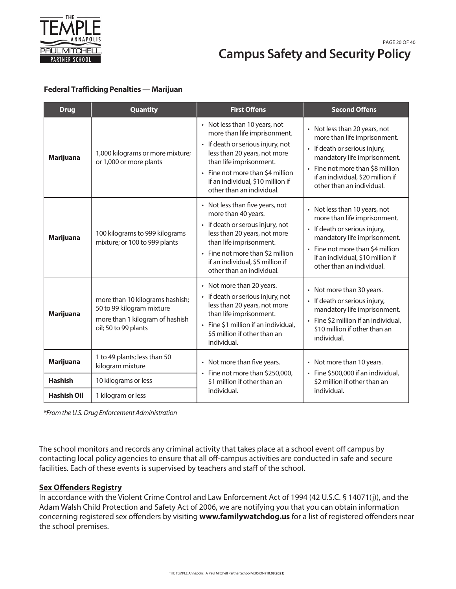

## **Campus Safety and Security Policy** PAGE 20 OF 40 **Campus**

#### **Federal Trafficking Penalties — Marijuan**

| <b>Drug</b>                              | <b>Quantity</b>                                                                                                         | <b>First Offens</b>                                                                                                                                                                                                                                                 | <b>Second Offens</b>                                                                                                                                                                                                                 |  |  |
|------------------------------------------|-------------------------------------------------------------------------------------------------------------------------|---------------------------------------------------------------------------------------------------------------------------------------------------------------------------------------------------------------------------------------------------------------------|--------------------------------------------------------------------------------------------------------------------------------------------------------------------------------------------------------------------------------------|--|--|
| <b>Marijuana</b>                         | 1,000 kilograms or more mixture;<br>or 1,000 or more plants                                                             | • Not less than 10 years, not<br>more than life imprisonment.<br>• If death or serious injury, not<br>less than 20 years, not more<br>than life imprisonment.<br>• Fine not more than \$4 million<br>if an individual, \$10 million if<br>other than an individual. | • Not less than 20 years, not<br>more than life imprisonment.<br>• If death or serious injury,<br>mandatory life imprisonment.<br>• Fine not more than \$8 million<br>if an individual, \$20 million if<br>other than an individual. |  |  |
| <b>Marijuana</b>                         | 100 kilograms to 999 kilograms<br>mixture; or 100 to 999 plants                                                         | • Not less than five years, not<br>more than 40 years.<br>• If death or serous injury, not<br>less than 20 years, not more<br>than life imprisonment.<br>• Fine not more than \$2 million<br>if an individual, \$5 million if<br>other than an individual.          | • Not less than 10 years, not<br>more than life imprisonment.<br>• If death or serious injury,<br>mandatory life imprisonment.<br>• Fine not more than \$4 million<br>if an individual, \$10 million if<br>other than an individual. |  |  |
| <b>Marijuana</b>                         | more than 10 kilograms hashish;<br>50 to 99 kilogram mixture<br>more than 1 kilogram of hashish<br>oil; 50 to 99 plants | • Not more than 20 years.<br>• If death or serious injury, not<br>less than 20 years, not more<br>than life imprisonment.<br>• Fine \$1 million if an individual,<br>\$5 million if other than an<br>individual.                                                    | • Not more than 30 years.<br>• If death or serious injury,<br>mandatory life imprisonment.<br>• Fine \$2 million if an individual,<br>\$10 million if other than an<br>individual.                                                   |  |  |
| <b>Marijuana</b>                         | 1 to 49 plants; less than 50<br>kilogram mixture                                                                        | • Not more than five years.                                                                                                                                                                                                                                         | • Not more than 10 years.                                                                                                                                                                                                            |  |  |
| <b>Hashish</b>                           | 10 kilograms or less                                                                                                    | • Fine not more than \$250,000,<br>\$1 million if other than an                                                                                                                                                                                                     | · Fine \$500,000 if an individual,<br>\$2 million if other than an                                                                                                                                                                   |  |  |
| <b>Hashish Oil</b><br>1 kilogram or less |                                                                                                                         | individual.                                                                                                                                                                                                                                                         | individual.                                                                                                                                                                                                                          |  |  |

*\*From the U.S. Drug Enforcement Administration*

The school monitors and records any criminal activity that takes place at a school event off campus by contacting local policy agencies to ensure that all off-campus activities are conducted in safe and secure facilities. Each of these events is supervised by teachers and staff of the school.

#### **Sex Offenders Registry**

In accordance with the Violent Crime Control and Law Enforcement Act of 1994 (42 U.S.C. § 14071(j)), and the Adam Walsh Child Protection and Safety Act of 2006, we are notifying you that you can obtain information concerning registered sex offenders by visiting **www.familywatchdog.us** for a list of registered offenders near the school premises.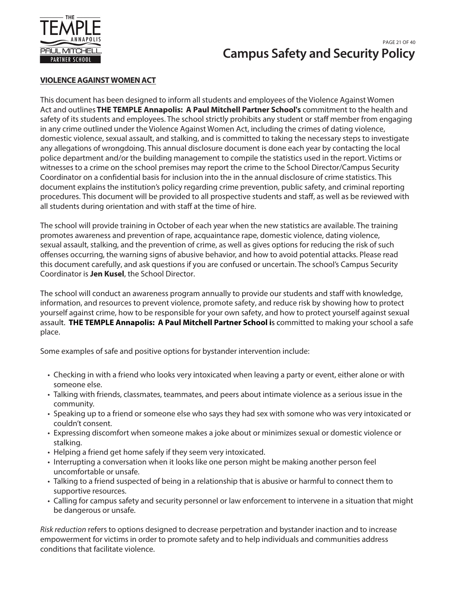

# **Campus Safety and Security Policy** PAGE 21 OF 40

## **VIOLENCE AGAINST WOMEN ACT**

This document has been designed to inform all students and employees of the Violence Against Women Act and outlines **THE TEMPLE Annapolis: A Paul Mitchell Partner School's** commitment to the health and safety of its students and employees. The school strictly prohibits any student or staff member from engaging in any crime outlined under the Violence Against Women Act, including the crimes of dating violence, domestic violence, sexual assault, and stalking, and is committed to taking the necessary steps to investigate any allegations of wrongdoing. This annual disclosure document is done each year by contacting the local police department and/or the building management to compile the statistics used in the report. Victims or witnesses to a crime on the school premises may report the crime to the School Director/Campus Security Coordinator on a confidential basis for inclusion into the in the annual disclosure of crime statistics. This document explains the institution's policy regarding crime prevention, public safety, and criminal reporting procedures. This document will be provided to all prospective students and staff, as well as be reviewed with all students during orientation and with staff at the time of hire.

The school will provide training in October of each year when the new statistics are available. The training promotes awareness and prevention of rape, acquaintance rape, domestic violence, dating violence, sexual assault, stalking, and the prevention of crime, as well as gives options for reducing the risk of such offenses occurring, the warning signs of abusive behavior, and how to avoid potential attacks. Please read this document carefully, and ask questions if you are confused or uncertain. The school's Campus Security Coordinator is **Jen Kusel**, the School Director.

The school will conduct an awareness program annually to provide our students and staff with knowledge, information, and resources to prevent violence, promote safety, and reduce risk by showing how to protect yourself against crime, how to be responsible for your own safety, and how to protect yourself against sexual assault. **THE TEMPLE Annapolis: A Paul Mitchell Partner School i**s committed to making your school a safe place.

Some examples of safe and positive options for bystander intervention include:

- Checking in with a friend who looks very intoxicated when leaving a party or event, either alone or with someone else.
- Talking with friends, classmates, teammates, and peers about intimate violence as a serious issue in the community.
- Speaking up to a friend or someone else who says they had sex with somone who was very intoxicated or couldn't consent.
- Expressing discomfort when someone makes a joke about or minimizes sexual or domestic violence or stalking.
- Helping a friend get home safely if they seem very intoxicated.
- Interrupting a conversation when it looks like one person might be making another person feel uncomfortable or unsafe.
- Talking to a friend suspected of being in a relationship that is abusive or harmful to connect them to supportive resources.
- Calling for campus safety and security personnel or law enforcement to intervene in a situation that might be dangerous or unsafe.

Risk reduction refers to options designed to decrease perpetration and bystander inaction and to increase empowerment for victims in order to promote safety and to help individuals and communities address conditions that facilitate violence.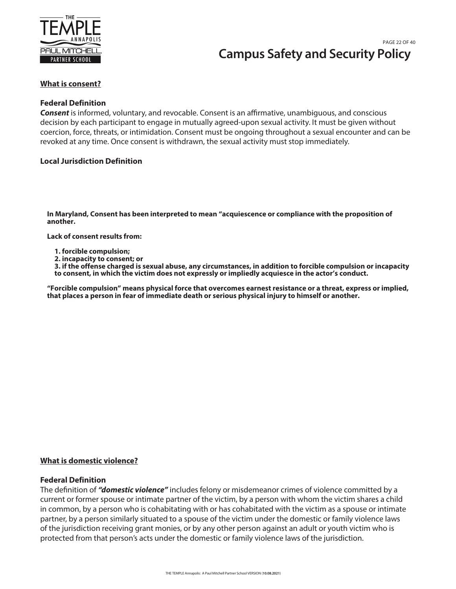

# **Campus Safety and Security Policy** PAGE 22 OF 40

#### **What is consent?**

#### **Federal Definition**

*Consent* is informed, voluntary, and revocable. Consent is an affirmative, unambiguous, and conscious decision by each participant to engage in mutually agreed-upon sexual activity. It must be given without coercion, force, threats, or intimidation. Consent must be ongoing throughout a sexual encounter and can be revoked at any time. Once consent is withdrawn, the sexual activity must stop immediately.

#### **Local Jurisdiction Definition**

**In Maryland, Consent has been interpreted to mean "acquiescence or compliance with the proposition of another.**

**Lack of consent results from:**

- **1. forcible compulsion;**
- **2. incapacity to consent; or**

**3. if the offense charged is sexual abuse, any circumstances, in addition to forcible compulsion or incapacity to consent, in which the victim does not expressly or impliedly acquiesce in the actor's conduct.**

**"Forcible compulsion" means physical force that overcomes earnest resistance or a threat, express or implied, that places a person in fear of immediate death or serious physical injury to himself or another.**

#### **What is domestic violence?**

#### **Federal Definition**

The definition of *"domestic violence"* includes felony or misdemeanor crimes of violence committed by a current or former spouse or intimate partner of the victim, by a person with whom the victim shares a child in common, by a person who is cohabitating with or has cohabitated with the victim as a spouse or intimate partner, by a person similarly situated to a spouse of the victim under the domestic or family violence laws of the jurisdiction receiving grant monies, or by any other person against an adult or youth victim who is protected from that person's acts under the domestic or family violence laws of the jurisdiction.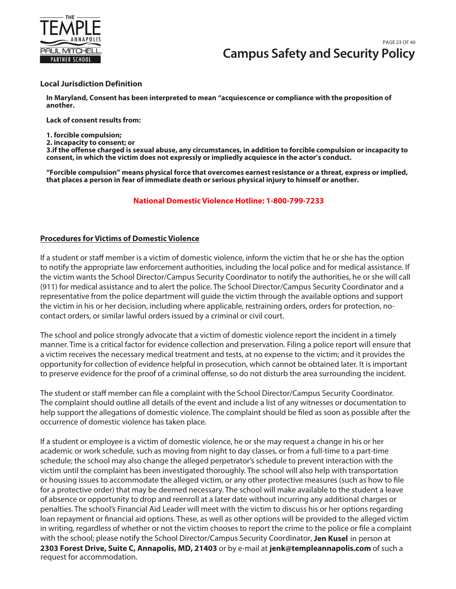

#### **Local Jurisdiction Definition**

**In Maryland, Consent has been interpreted to mean "acquiescence or compliance with the proposition of another.**

**Lack of consent results from:**

**1. forcible compulsion;**

**2. incapacity to consent; or**

**3.if the offense charged is sexual abuse, any circumstances, in addition to forcible compulsion or incapacity to consent, in which the victim does not expressly or impliedly acquiesce in the actor's conduct.**

**"Forcible compulsion" means physical force that overcomes earnest resistance or a threat, express or implied, that places a person in fear of immediate death or serious physical injury to himself or another.**

#### **National Domestic Violence Hotline: 1-800-799-7233**

#### **Procedures for Victims of Domestic Violence**

If a student or staff member is a victim of domestic violence, inform the victim that he or she has the option to notify the appropriate law enforcement authorities, including the local police and for medical assistance. If the victim wants the School Director/Campus Security Coordinator to notify the authorities, he or she will call (911) for medical assistance and to alert the police. The School Director/Campus Security Coordinator and a representative from the police department will guide the victim through the available options and support the victim in his or her decision, including where applicable, restraining orders, orders for protection, nocontact orders, or similar lawful orders issued by a criminal or civil court.

The school and police strongly advocate that a victim of domestic violence report the incident in a timely manner. Time is a critical factor for evidence collection and preservation. Filing a police report will ensure that a victim receives the necessary medical treatment and tests, at no expense to the victim; and it provides the opportunity for collection of evidence helpful in prosecution, which cannot be obtained later. It is important to preserve evidence for the proof of a criminal offense, so do not disturb the area surrounding the incident.

The student or staff member can file a complaint with the School Director/Campus Security Coordinator. The complaint should outline all details of the event and include a list of any witnesses or documentation to help support the allegations of domestic violence. The complaint should be filed as soon as possible after the occurrence of domestic violence has taken place.

If a student or employee is a victim of domestic violence, he or she may request a change in his or her academic or work schedule, such as moving from night to day classes, or from a full-time to a part-time schedule; the school may also change the alleged perpetrator's schedule to prevent interaction with the victim until the complaint has been investigated thoroughly. The school will also help with transportation or housing issues to accommodate the alleged victim, or any other protective measures (such as how to file for a protective order) that may be deemed necessary. The school will make available to the student a leave of absence or opportunity to drop and reenroll at a later date without incurring any additional charges or penalties. The school's Financial Aid Leader will meet with the victim to discuss his or her options regarding loan repayment or financial aid options. These, as well as other options will be provided to the alleged victim in writing, regardless of whether or not the victim chooses to report the crime to the police or file a complaint with the school; please notify the School Director/Campus Security Coordinator, Jen Kusel in person at **2303 Forest Drive, Suite C, Annapolis, MD, 21403** or by e-mail at **jenk@templeannapolis.com** of such a request for accommodation.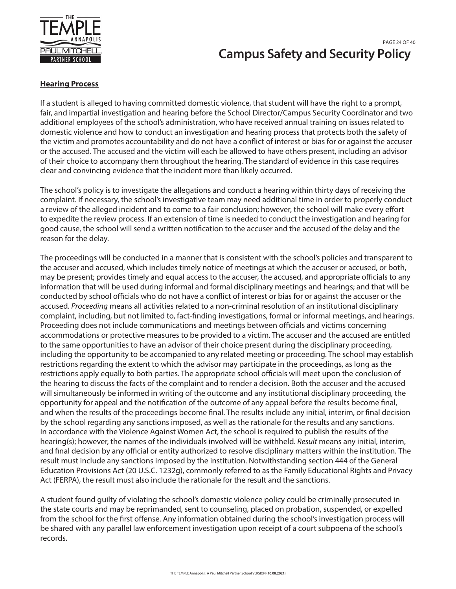

# **Campus Safety and Security Policy** PAGE 24 OF 40

## **Hearing Process**

If a student is alleged to having committed domestic violence, that student will have the right to a prompt, fair, and impartial investigation and hearing before the School Director/Campus Security Coordinator and two additional employees of the school's administration, who have received annual training on issues related to domestic violence and how to conduct an investigation and hearing process that protects both the safety of the victim and promotes accountability and do not have a conflict of interest or bias for or against the accuser or the accused. The accused and the victim will each be allowed to have others present, including an advisor of their choice to accompany them throughout the hearing. The standard of evidence in this case requires clear and convincing evidence that the incident more than likely occurred.

The school's policy is to investigate the allegations and conduct a hearing within thirty days of receiving the complaint. If necessary, the school's investigative team may need additional time in order to properly conduct a review of the alleged incident and to come to a fair conclusion; however, the school will make every effort to expedite the review process. If an extension of time is needed to conduct the investigation and hearing for good cause, the school will send a written notification to the accuser and the accused of the delay and the reason for the delay.

The proceedings will be conducted in a manner that is consistent with the school's policies and transparent to the accuser and accused, which includes timely notice of meetings at which the accuser or accused, or both, may be present; provides timely and equal access to the accuser, the accused, and appropriate officials to any information that will be used during informal and formal disciplinary meetings and hearings; and that will be conducted by school officials who do not have a conflict of interest or bias for or against the accuser or the accused. Proceeding means all activities related to a non-criminal resolution of an institutional disciplinary complaint, including, but not limited to, fact-finding investigations, formal or informal meetings, and hearings. Proceeding does not include communications and meetings between officials and victims concerning accommodations or protective measures to be provided to a victim. The accuser and the accused are entitled to the same opportunities to have an advisor of their choice present during the disciplinary proceeding, including the opportunity to be accompanied to any related meeting or proceeding. The school may establish restrictions regarding the extent to which the advisor may participate in the proceedings, as long as the restrictions apply equally to both parties. The appropriate school officials will meet upon the conclusion of the hearing to discuss the facts of the complaint and to render a decision. Both the accuser and the accused will simultaneously be informed in writing of the outcome and any institutional disciplinary proceeding, the opportunity for appeal and the notification of the outcome of any appeal before the results become final, and when the results of the proceedings become final. The results include any initial, interim, or final decision by the school regarding any sanctions imposed, as well as the rationale for the results and any sanctions. In accordance with the Violence Against Women Act, the school is required to publish the results of the hearing(s); however, the names of the individuals involved will be withheld. Result means any initial, interim, and final decision by any official or entity authorized to resolve disciplinary matters within the institution. The result must include any sanctions imposed by the institution. Notwithstanding section 444 of the General Education Provisions Act (20 U.S.C. 1232g), commonly referred to as the Family Educational Rights and Privacy Act (FERPA), the result must also include the rationale for the result and the sanctions.

A student found guilty of violating the school's domestic violence policy could be criminally prosecuted in the state courts and may be reprimanded, sent to counseling, placed on probation, suspended, or expelled from the school for the first offense. Any information obtained during the school's investigation process will be shared with any parallel law enforcement investigation upon receipt of a court subpoena of the school's records.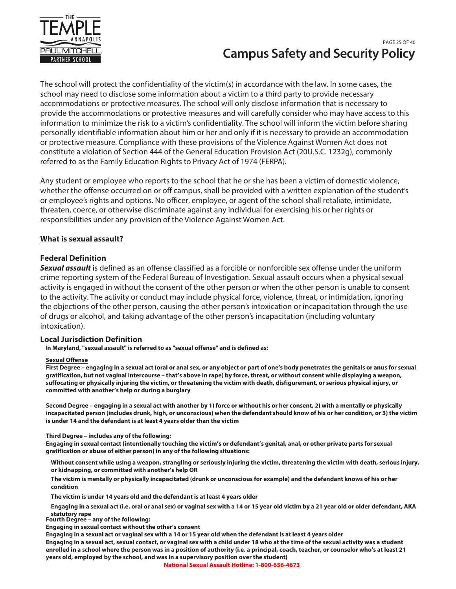

# **Campus Safety and Security Policy** PAGE 25 OF 40

The school will protect the confidentiality of the victim(s) in accordance with the law. In some cases, the school may need to disclose some information about a victim to a third party to provide necessary accommodations or protective measures. The school will only disclose information that is necessary to provide the accommodations or protective measures and will carefully consider who may have access to this information to minimize the risk to a victim's confidentiality. The school will inform the victim before sharing personally identifiable information about him or her and only if it is necessary to provide an accommodation or protective measure. Compliance with these provisions of the Violence Against Women Act does not constitute a violation of Section 444 of the General Education Provision Act (20U.S.C. 1232g), commonly referred to as the Family Education Rights to Privacy Act of 1974 (FERPA).

Any student or employee who reports to the school that he or she has been a victim of domestic violence, whether the offense occurred on or off campus, shall be provided with a written explanation of the student's or employee's rights and options. No officer, employee, or agent of the school shall retaliate, intimidate, threaten, coerce, or otherwise discriminate against any individual for exercising his or her rights or responsibilities under any provision of the Violence Against Women Act.

#### **What is sexual assault?**

#### **Federal Definition**

*Sexual assault* is defined as an offense classified as a forcible or nonforcible sex offense under the uniform crime reporting system of the Federal Bureau of Investigation. Sexual assault occurs when a physical sexual activity is engaged in without the consent of the other person or when the other person is unable to consent to the activity. The activity or conduct may include physical force, violence, threat, or intimidation, ignoring the objections of the other person, causing the other person's intoxication or incapacitation through the use of drugs or alcohol, and taking advantage of the other person's incapacitation (including voluntary intoxication).

#### **Local Jurisdiction Definition**

I**n Maryland, "sexual assault" is referred to as "sexual offense" and is defined as:**

#### **Sexual Offense**

**First Degree – engaging in a sexual act (oral or anal sex, or any object or part of one's body penetrates the genitals or anus for sexual gratification, but not vaginal intercourse – that's above in rape) by force, threat, or without consent while displaying a weapon, suffocating or physically injuring the victim, or threatening the victim with death, disfigurement, or serious physical injury, or committed with another's help or during a burglary**

**Second Degree – engaging in a sexual act with another by 1) force or without his or her consent, 2) with a mentally or physically incapacitated person (includes drunk, high, or unconscious) when the defendant should know of his or her condition, or 3) the victim is under 14 and the defendant is at least 4 years older than the victim**

**Third Degree – includes any of the following:**

**Engaging in sexual contact (intentionally touching the victim's or defendant's genital, anal, or other private parts for sexual gratification or abuse of either person) in any of the following situations:**

**Without consent while using a weapon, strangling or seriously injuring the victim, threatening the victim with death, serious injury, or kidnapping, or committed with another's help OR**

**The victim is mentally or physically incapacitated (drunk or unconscious for example) and the defendant knows of his or her condition**

**The victim is under 14 years old and the defendant is at least 4 years older**

**Engaging in a sexual act (i.e. oral or anal sex) or vaginal sex with a 14 or 15 year old victim by a 21 year old or older defendant, AKA statutory rape**

**Fourth Degree – any of the following:**

**Engaging in sexual contact without the other's consent**

**Engaging in a sexual act or vaginal sex with a 14 or 15 year old when the defendant is at least 4 years older**

**Engaging in a sexual act, sexual contact, or vaginal sex with a child under 18 who at the time of the sexual activity was a student enrolled in a school where the person was in a position of authority (i.e. a principal, coach, teacher, or counselor who's at least 21 years old, employed by the school, and was in a supervisory position over the student)**

**National Sexual Assault Hotline: 1-800-656-4673**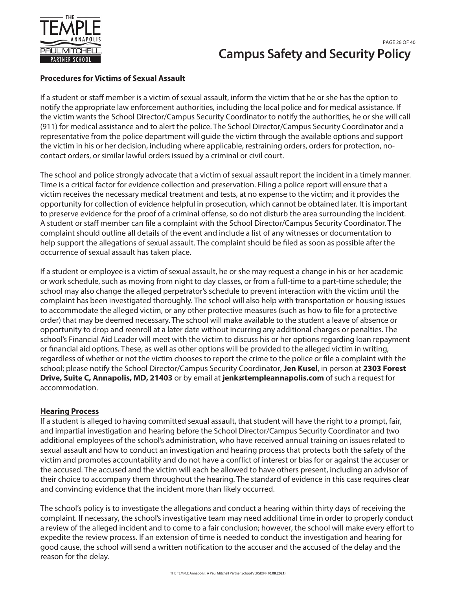

# **Campus Safety and Security Policy** PAGE 26 OF 40

# **Procedures for Victims of Sexual Assault**

If a student or staff member is a victim of sexual assault, inform the victim that he or she has the option to notify the appropriate law enforcement authorities, including the local police and for medical assistance. If the victim wants the School Director/Campus Security Coordinator to notify the authorities, he or she will call (911) for medical assistance and to alert the police. The School Director/Campus Security Coordinator and a representative from the police department will guide the victim through the available options and support the victim in his or her decision, including where applicable, restraining orders, orders for protection, nocontact orders, or similar lawful orders issued by a criminal or civil court.

The school and police strongly advocate that a victim of sexual assault report the incident in a timely manner. Time is a critical factor for evidence collection and preservation. Filing a police report will ensure that a victim receives the necessary medical treatment and tests, at no expense to the victim; and it provides the opportunity for collection of evidence helpful in prosecution, which cannot be obtained later. It is important to preserve evidence for the proof of a criminal offense, so do not disturb the area surrounding the incident. A student or staff member can file a complaint with the School Director/Campus Security Coordinator. The complaint should outline all details of the event and include a list of any witnesses or documentation to help support the allegations of sexual assault. The complaint should be filed as soon as possible after the occurrence of sexual assault has taken place.

If a student or employee is a victim of sexual assault, he or she may request a change in his or her academic or work schedule, such as moving from night to day classes, or from a full-time to a part-time schedule; the school may also change the alleged perpetrator's schedule to prevent interaction with the victim until the complaint has been investigated thoroughly. The school will also help with transportation or housing issues to accommodate the alleged victim, or any other protective measures (such as how to file for a protective order) that may be deemed necessary. The school will make available to the student a leave of absence or opportunity to drop and reenroll at a later date without incurring any additional charges or penalties. The school's Financial Aid Leader will meet with the victim to discuss his or her options regarding loan repayment or financial aid options. These, as well as other options will be provided to the alleged victim in writing, regardless of whether or not the victim chooses to report the crime to the police or file a complaint with the school; please notify the School Director/Campus Security Coordinator, **Jen Kusel**, in person at **2303 Forest Drive, Suite C, Annapolis, MD, 21403** or by email at **jenk@templeannapolis.com** of such a request for accommodation.

## **Hearing Process**

If a student is alleged to having committed sexual assault, that student will have the right to a prompt, fair, and impartial investigation and hearing before the School Director/Campus Security Coordinator and two additional employees of the school's administration, who have received annual training on issues related to sexual assault and how to conduct an investigation and hearing process that protects both the safety of the victim and promotes accountability and do not have a conflict of interest or bias for or against the accuser or the accused. The accused and the victim will each be allowed to have others present, including an advisor of their choice to accompany them throughout the hearing. The standard of evidence in this case requires clear and convincing evidence that the incident more than likely occurred.

The school's policy is to investigate the allegations and conduct a hearing within thirty days of receiving the complaint. If necessary, the school's investigative team may need additional time in order to properly conduct a review of the alleged incident and to come to a fair conclusion; however, the school will make every effort to expedite the review process. If an extension of time is needed to conduct the investigation and hearing for good cause, the school will send a written notification to the accuser and the accused of the delay and the reason for the delay.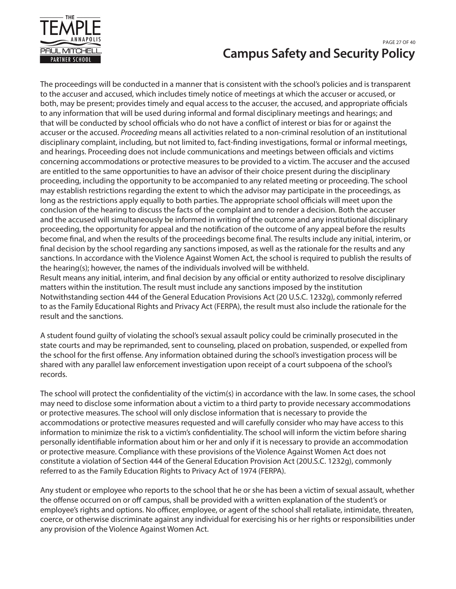

# **Campus Safety and Security Policy** PAGE 27 OF 40

The proceedings will be conducted in a manner that is consistent with the school's policies and is transparent to the accuser and accused, which includes timely notice of meetings at which the accuser or accused, or both, may be present; provides timely and equal access to the accuser, the accused, and appropriate officials to any information that will be used during informal and formal disciplinary meetings and hearings; and that will be conducted by school officials who do not have a conflict of interest or bias for or against the accuser or the accused. Proceeding means all activities related to a non-criminal resolution of an institutional disciplinary complaint, including, but not limited to, fact-finding investigations, formal or informal meetings, and hearings. Proceeding does not include communications and meetings between officials and victims concerning accommodations or protective measures to be provided to a victim. The accuser and the accused are entitled to the same opportunities to have an advisor of their choice present during the disciplinary proceeding, including the opportunity to be accompanied to any related meeting or proceeding. The school may establish restrictions regarding the extent to which the advisor may participate in the proceedings, as long as the restrictions apply equally to both parties. The appropriate school officials will meet upon the conclusion of the hearing to discuss the facts of the complaint and to render a decision. Both the accuser and the accused will simultaneously be informed in writing of the outcome and any institutional disciplinary proceeding, the opportunity for appeal and the notification of the outcome of any appeal before the results become final, and when the results of the proceedings become final. The results include any initial, interim, or final decision by the school regarding any sanctions imposed, as well as the rationale for the results and any sanctions. In accordance with the Violence Against Women Act, the school is required to publish the results of the hearing(s); however, the names of the individuals involved will be withheld. Result means any initial, interim, and final decision by any official or entity authorized to resolve disciplinary matters within the institution. The result must include any sanctions imposed by the institution Notwithstanding section 444 of the General Education Provisions Act (20 U.S.C. 1232g), commonly referred to as the Family Educational Rights and Privacy Act (FERPA), the result must also include the rationale for the result and the sanctions.

A student found guilty of violating the school's sexual assault policy could be criminally prosecuted in the state courts and may be reprimanded, sent to counseling, placed on probation, suspended, or expelled from the school for the first offense. Any information obtained during the school's investigation process will be shared with any parallel law enforcement investigation upon receipt of a court subpoena of the school's records.

The school will protect the confidentiality of the victim(s) in accordance with the law. In some cases, the school may need to disclose some information about a victim to a third party to provide necessary accommodations or protective measures. The school will only disclose information that is necessary to provide the accommodations or protective measures requested and will carefully consider who may have access to this information to minimize the risk to a victim's confidentiality. The school will inform the victim before sharing personally identifiable information about him or her and only if it is necessary to provide an accommodation or protective measure. Compliance with these provisions of the Violence Against Women Act does not constitute a violation of Section 444 of the General Education Provision Act (20U.S.C. 1232g), commonly referred to as the Family Education Rights to Privacy Act of 1974 (FERPA).

Any student or employee who reports to the school that he or she has been a victim of sexual assault, whether the offense occurred on or off campus, shall be provided with a written explanation of the student's or employee's rights and options. No officer, employee, or agent of the school shall retaliate, intimidate, threaten, coerce, or otherwise discriminate against any individual for exercising his or her rights or responsibilities under any provision of the Violence Against Women Act.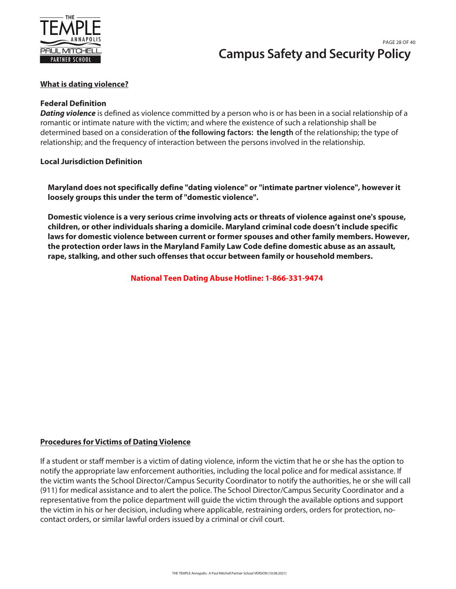

# **Campus Safety and Security Policy** PAGE 28 OF 40

## **What is dating violence?**

#### **Federal Definition**

*Dating violence* is defined as violence committed by a person who is or has been in a social relationship of a romantic or intimate nature with the victim; and where the existence of such a relationship shall be determined based on a consideration of **the following factors: the length** of the relationship; the type of relationship; and the frequency of interaction between the persons involved in the relationship.

#### **Local Jurisdiction Definition**

**Maryland does not specifically define "dating violence" or "intimate partner violence", however it loosely groups this under the term of "domestic violence".**

**Domestic violence is a very serious crime involving acts or threats of violence against one's spouse, children, or other individuals sharing a domicile. Maryland criminal code doesn't include specific laws for domestic violence between current or former spouses and other family members. However, the protection order laws in the Maryland Family Law Code define domestic abuse as an assault, rape, stalking, and other such offenses that occur between family or household members.**

**National Teen Dating Abuse Hotline: 1-866-331-9474**

## **Procedures for Victims of Dating Violence**

If a student or staff member is a victim of dating violence, inform the victim that he or she has the option to notify the appropriate law enforcement authorities, including the local police and for medical assistance. If the victim wants the School Director/Campus Security Coordinator to notify the authorities, he or she will call (911) for medical assistance and to alert the police. The School Director/Campus Security Coordinator and a representative from the police department will guide the victim through the available options and support the victim in his or her decision, including where applicable, restraining orders, orders for protection, nocontact orders, or similar lawful orders issued by a criminal or civil court.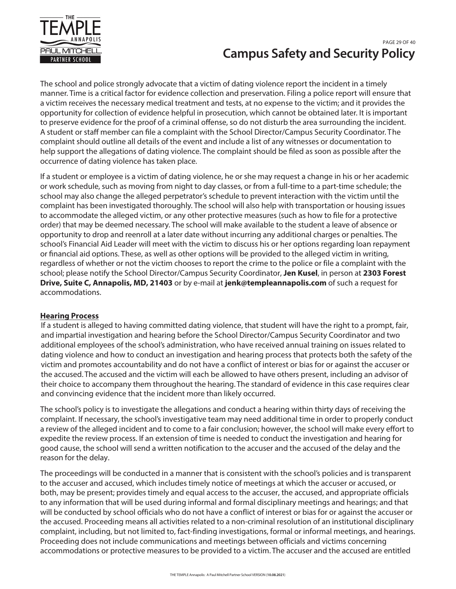

# **Campus Safety and Security Policy** PAGE 29 OF 40

The school and police strongly advocate that a victim of dating violence report the incident in a timely manner. Time is a critical factor for evidence collection and preservation. Filing a police report will ensure that a victim receives the necessary medical treatment and tests, at no expense to the victim; and it provides the opportunity for collection of evidence helpful in prosecution, which cannot be obtained later. It is important to preserve evidence for the proof of a criminal offense, so do not disturb the area surrounding the incident. A student or staff member can file a complaint with the School Director/Campus Security Coordinator. The complaint should outline all details of the event and include a list of any witnesses or documentation to help support the allegations of dating violence. The complaint should be filed as soon as possible after the occurrence of dating violence has taken place.

If a student or employee is a victim of dating violence, he or she may request a change in his or her academic or work schedule, such as moving from night to day classes, or from a full-time to a part-time schedule; the school may also change the alleged perpetrator's schedule to prevent interaction with the victim until the complaint has been investigated thoroughly. The school will also help with transportation or housing issues to accommodate the alleged victim, or any other protective measures (such as how to file for a protective order) that may be deemed necessary. The school will make available to the student a leave of absence or opportunity to drop and reenroll at a later date without incurring any additional charges or penalties. The school's Financial Aid Leader will meet with the victim to discuss his or her options regarding loan repayment or financial aid options. These, as well as other options will be provided to the alleged victim in writing, regardless of whether or not the victim chooses to report the crime to the police or file a complaint with the school; please notify the School Director/Campus Security Coordinator, **Jen Kusel**, in person at **2303 Forest Drive, Suite C, Annapolis, MD, 21403** or by e-mail at **jenk@templeannapolis.com** of such a request for accommodations.

#### **Hearing Process**

If a student is alleged to having committed dating violence, that student will have the right to a prompt, fair, and impartial investigation and hearing before the School Director/Campus Security Coordinator and two additional employees of the school's administration, who have received annual training on issues related to dating violence and how to conduct an investigation and hearing process that protects both the safety of the victim and promotes accountability and do not have a conflict of interest or bias for or against the accuser or the accused. The accused and the victim will each be allowed to have others present, including an advisor of their choice to accompany them throughout the hearing. The standard of evidence in this case requires clear and convincing evidence that the incident more than likely occurred.

The school's policy is to investigate the allegations and conduct a hearing within thirty days of receiving the complaint. If necessary, the school's investigative team may need additional time in order to properly conduct a review of the alleged incident and to come to a fair conclusion; however, the school will make every effort to expedite the review process. If an extension of time is needed to conduct the investigation and hearing for good cause, the school will send a written notification to the accuser and the accused of the delay and the reason for the delay.

The proceedings will be conducted in a manner that is consistent with the school's policies and is transparent to the accuser and accused, which includes timely notice of meetings at which the accuser or accused, or both, may be present; provides timely and equal access to the accuser, the accused, and appropriate officials to any information that will be used during informal and formal disciplinary meetings and hearings; and that will be conducted by school officials who do not have a conflict of interest or bias for or against the accuser or the accused. Proceeding means all activities related to a non-criminal resolution of an institutional disciplinary complaint, including, but not limited to, fact-finding investigations, formal or informal meetings, and hearings. Proceeding does not include communications and meetings between officials and victims concerning accommodations or protective measures to be provided to a victim. The accuser and the accused are entitled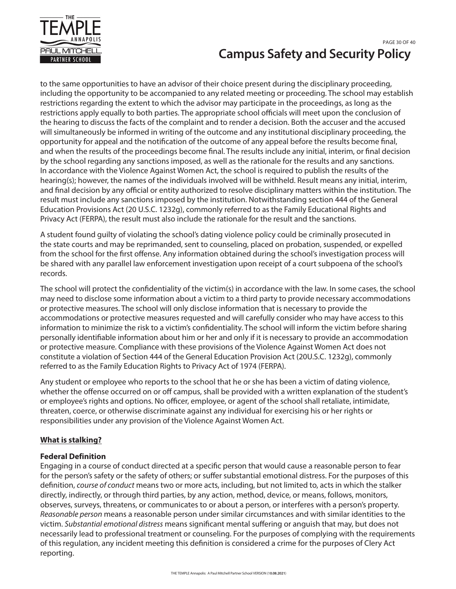

# **Campus Safety and Security Policy** PAGE 30 OF 40

to the same opportunities to have an advisor of their choice present during the disciplinary proceeding, including the opportunity to be accompanied to any related meeting or proceeding. The school may establish restrictions regarding the extent to which the advisor may participate in the proceedings, as long as the restrictions apply equally to both parties. The appropriate school officials will meet upon the conclusion of the hearing to discuss the facts of the complaint and to render a decision. Both the accuser and the accused will simultaneously be informed in writing of the outcome and any institutional disciplinary proceeding, the opportunity for appeal and the notification of the outcome of any appeal before the results become final, and when the results of the proceedings become final. The results include any initial, interim, or final decision by the school regarding any sanctions imposed, as well as the rationale for the results and any sanctions. In accordance with the Violence Against Women Act, the school is required to publish the results of the hearing(s); however, the names of the individuals involved will be withheld. Result means any initial, interim, and final decision by any official or entity authorized to resolve disciplinary matters within the institution. The result must include any sanctions imposed by the institution. Notwithstanding section 444 of the General Education Provisions Act (20 U.S.C. 1232g), commonly referred to as the Family Educational Rights and Privacy Act (FERPA), the result must also include the rationale for the result and the sanctions.

A student found guilty of violating the school's dating violence policy could be criminally prosecuted in the state courts and may be reprimanded, sent to counseling, placed on probation, suspended, or expelled from the school for the first offense. Any information obtained during the school's investigation process will be shared with any parallel law enforcement investigation upon receipt of a court subpoena of the school's records.

The school will protect the confidentiality of the victim(s) in accordance with the law. In some cases, the school may need to disclose some information about a victim to a third party to provide necessary accommodations or protective measures. The school will only disclose information that is necessary to provide the accommodations or protective measures requested and will carefully consider who may have access to this information to minimize the risk to a victim's confidentiality. The school will inform the victim before sharing personally identifiable information about him or her and only if it is necessary to provide an accommodation or protective measure. Compliance with these provisions of the Violence Against Women Act does not constitute a violation of Section 444 of the General Education Provision Act (20U.S.C. 1232g), commonly referred to as the Family Education Rights to Privacy Act of 1974 (FERPA).

Any student or employee who reports to the school that he or she has been a victim of dating violence, whether the offense occurred on or off campus, shall be provided with a written explanation of the student's or employee's rights and options. No officer, employee, or agent of the school shall retaliate, intimidate, threaten, coerce, or otherwise discriminate against any individual for exercising his or her rights or responsibilities under any provision of the Violence Against Women Act.

# **What is stalking?**

## **Federal Definition**

Engaging in a course of conduct directed at a specific person that would cause a reasonable person to fear for the person's safety or the safety of others; or suffer substantial emotional distress. For the purposes of this definition, course of conduct means two or more acts, including, but not limited to, acts in which the stalker directly, indirectly, or through third parties, by any action, method, device, or means, follows, monitors, observes, surveys, threatens, or communicates to or about a person, or interferes with a person's property. Reasonable person means a reasonable person under similar circumstances and with similar identities to the victim. Substantial emotional distress means significant mental suffering or anguish that may, but does not necessarily lead to professional treatment or counseling. For the purposes of complying with the requirements of this regulation, any incident meeting this definition is considered a crime for the purposes of Clery Act reporting.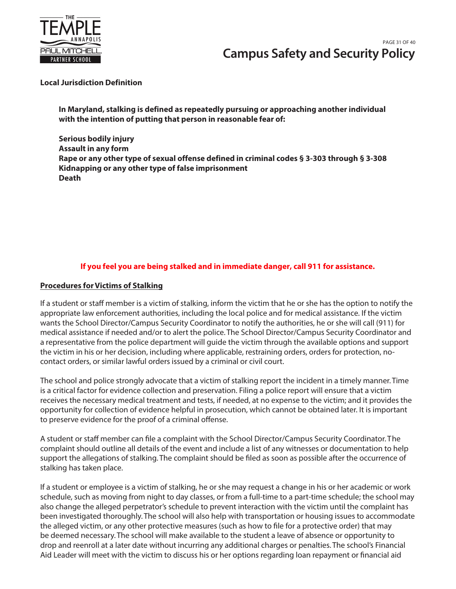

# **Campus Safety and Security Policy** PAGE 31 OF 40

#### **Local Jurisdiction Definition**

**In Maryland, stalking is defined as repeatedly pursuing or approaching another individual with the intention of putting that person in reasonable fear of:**

**Serious bodily injury Assault in any form Rape or any other type of sexual offense defined in criminal codes § 3-303 through § 3-308 Kidnapping or any other type of false imprisonment Death**

# **If you feel you are being stalked and in immediate danger, call 911 for assistance.**

#### **Procedures for Victims of Stalking**

If a student or staff member is a victim of stalking, inform the victim that he or she has the option to notify the appropriate law enforcement authorities, including the local police and for medical assistance. If the victim wants the School Director/Campus Security Coordinator to notify the authorities, he or she will call (911) for medical assistance if needed and/or to alert the police. The School Director/Campus Security Coordinator and a representative from the police department will guide the victim through the available options and support the victim in his or her decision, including where applicable, restraining orders, orders for protection, nocontact orders, or similar lawful orders issued by a criminal or civil court.

The school and police strongly advocate that a victim of stalking report the incident in a timely manner. Time is a critical factor for evidence collection and preservation. Filing a police report will ensure that a victim receives the necessary medical treatment and tests, if needed, at no expense to the victim; and it provides the opportunity for collection of evidence helpful in prosecution, which cannot be obtained later. It is important to preserve evidence for the proof of a criminal offense.

A student or staff member can file a complaint with the School Director/Campus Security Coordinator. The complaint should outline all details of the event and include a list of any witnesses or documentation to help support the allegations of stalking. The complaint should be filed as soon as possible after the occurrence of stalking has taken place.

If a student or employee is a victim of stalking, he or she may request a change in his or her academic or work schedule, such as moving from night to day classes, or from a full-time to a part-time schedule; the school may also change the alleged perpetrator's schedule to prevent interaction with the victim until the complaint has been investigated thoroughly. The school will also help with transportation or housing issues to accommodate the alleged victim, or any other protective measures (such as how to file for a protective order) that may be deemed necessary. The school will make available to the student a leave of absence or opportunity to drop and reenroll at a later date without incurring any additional charges or penalties. The school's Financial Aid Leader will meet with the victim to discuss his or her options regarding loan repayment or financial aid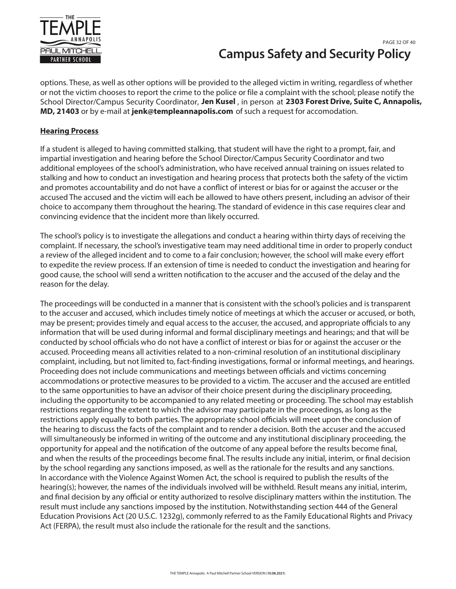

# **Campus Safety and Security Policy** PAGE 32 OF 40

options. These, as well as other options will be provided to the alleged victim in writing, regardless of whether or not the victim chooses to report the crime to the police or file a complaint with the school; please notify the School Director/Campus Security Coordinator, Jen Kusel, in person at 2303 Forest Drive, Suite C, Annapolis, MD, 21403 or by e-mail at jenk@templeannapolis.com of such a request for accomodation.

# **Hearing Process**

If a student is alleged to having committed stalking, that student will have the right to a prompt, fair, and impartial investigation and hearing before the School Director/Campus Security Coordinator and two additional employees of the school's administration, who have received annual training on issues related to stalking and how to conduct an investigation and hearing process that protects both the safety of the victim and promotes accountability and do not have a conflict of interest or bias for or against the accuser or the accused The accused and the victim will each be allowed to have others present, including an advisor of their choice to accompany them throughout the hearing. The standard of evidence in this case requires clear and convincing evidence that the incident more than likely occurred.

The school's policy is to investigate the allegations and conduct a hearing within thirty days of receiving the complaint. If necessary, the school's investigative team may need additional time in order to properly conduct a review of the alleged incident and to come to a fair conclusion; however, the school will make every effort to expedite the review process. If an extension of time is needed to conduct the investigation and hearing for good cause, the school will send a written notification to the accuser and the accused of the delay and the reason for the delay.

The proceedings will be conducted in a manner that is consistent with the school's policies and is transparent to the accuser and accused, which includes timely notice of meetings at which the accuser or accused, or both, may be present; provides timely and equal access to the accuser, the accused, and appropriate officials to any information that will be used during informal and formal disciplinary meetings and hearings; and that will be conducted by school officials who do not have a conflict of interest or bias for or against the accuser or the accused. Proceeding means all activities related to a non-criminal resolution of an institutional disciplinary complaint, including, but not limited to, fact-finding investigations, formal or informal meetings, and hearings. Proceeding does not include communications and meetings between officials and victims concerning accommodations or protective measures to be provided to a victim. The accuser and the accused are entitled to the same opportunities to have an advisor of their choice present during the disciplinary proceeding, including the opportunity to be accompanied to any related meeting or proceeding. The school may establish restrictions regarding the extent to which the advisor may participate in the proceedings, as long as the restrictions apply equally to both parties. The appropriate school officials will meet upon the conclusion of the hearing to discuss the facts of the complaint and to render a decision. Both the accuser and the accused will simultaneously be informed in writing of the outcome and any institutional disciplinary proceeding, the opportunity for appeal and the notification of the outcome of any appeal before the results become final, and when the results of the proceedings become final. The results include any initial, interim, or final decision by the school regarding any sanctions imposed, as well as the rationale for the results and any sanctions. In accordance with the Violence Against Women Act, the school is required to publish the results of the hearing(s); however, the names of the individuals involved will be withheld. Result means any initial, interim, and final decision by any official or entity authorized to resolve disciplinary matters within the institution. The result must include any sanctions imposed by the institution. Notwithstanding section 444 of the General Education Provisions Act (20 U.S.C. 1232g), commonly referred to as the Family Educational Rights and Privacy Act (FERPA), the result must also include the rationale for the result and the sanctions.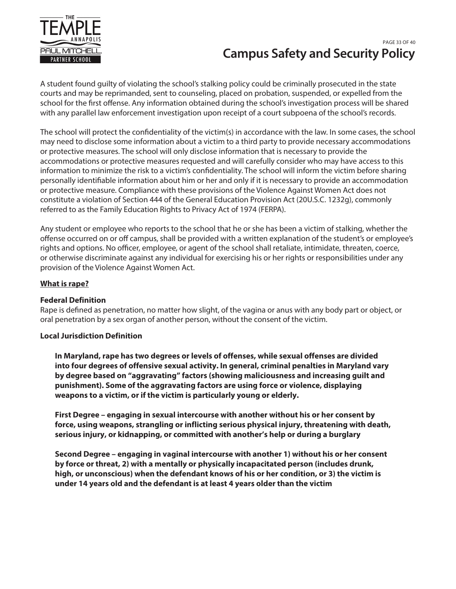

# **Campus Safety and Security Policy** PAGE 33 OF 40

A student found guilty of violating the school's stalking policy could be criminally prosecuted in the state courts and may be reprimanded, sent to counseling, placed on probation, suspended, or expelled from the school for the first offense. Any information obtained during the school's investigation process will be shared with any parallel law enforcement investigation upon receipt of a court subpoena of the school's records.

The school will protect the confidentiality of the victim(s) in accordance with the law. In some cases, the school may need to disclose some information about a victim to a third party to provide necessary accommodations or protective measures. The school will only disclose information that is necessary to provide the accommodations or protective measures requested and will carefully consider who may have access to this information to minimize the risk to a victim's confidentiality. The school will inform the victim before sharing personally identifiable information about him or her and only if it is necessary to provide an accommodation or protective measure. Compliance with these provisions of the Violence Against Women Act does not constitute a violation of Section 444 of the General Education Provision Act (20U.S.C. 1232g), commonly referred to as the Family Education Rights to Privacy Act of 1974 (FERPA).

Any student or employee who reports to the school that he or she has been a victim of stalking, whether the offense occurred on or off campus, shall be provided with a written explanation of the student's or employee's rights and options. No officer, employee, or agent of the school shall retaliate, intimidate, threaten, coerce, or otherwise discriminate against any individual for exercising his or her rights or responsibilities under any provision of the Violence Against Women Act.

# **What is rape?**

## **Federal Definition**

Rape is defined as penetration, no matter how slight, of the vagina or anus with any body part or object, or oral penetration by a sex organ of another person, without the consent of the victim.

## **Local Jurisdiction Definition**

**In Maryland, rape has two degrees or levels of offenses, while sexual offenses are divided into four degrees of offensive sexual activity. In general, criminal penalties in Maryland vary by degree based on "aggravating" factors (showing maliciousness and increasing guilt and punishment). Some of the aggravating factors are using force or violence, displaying weapons to a victim, or if the victim is particularly young or elderly.**

**First Degree – engaging in sexual intercourse with another without his or her consent by force, using weapons, strangling or inflicting serious physical injury, threatening with death, serious injury, or kidnapping, or committed with another's help or during a burglary**

**Second Degree – engaging in vaginal intercourse with another 1) without his or her consent by force or threat, 2) with a mentally or physically incapacitated person (includes drunk, high, or unconscious) when the defendant knows of his or her condition, or 3) the victim is under 14 years old and the defendant is at least 4 years older than the victim**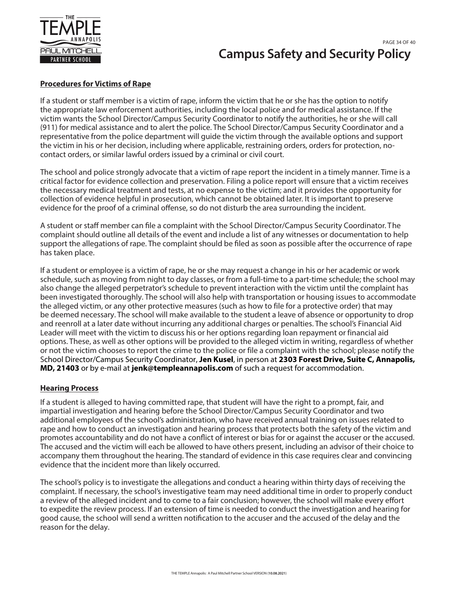

# **Campus Safety and Security Policy** PAGE 34 OF 40

## **Procedures for Victims of Rape**

If a student or staff member is a victim of rape, inform the victim that he or she has the option to notify the appropriate law enforcement authorities, including the local police and for medical assistance. If the victim wants the School Director/Campus Security Coordinator to notify the authorities, he or she will call (911) for medical assistance and to alert the police. The School Director/Campus Security Coordinator and a representative from the police department will guide the victim through the available options and support the victim in his or her decision, including where applicable, restraining orders, orders for protection, nocontact orders, or similar lawful orders issued by a criminal or civil court.

The school and police strongly advocate that a victim of rape report the incident in a timely manner. Time is a critical factor for evidence collection and preservation. Filing a police report will ensure that a victim receives the necessary medical treatment and tests, at no expense to the victim; and it provides the opportunity for collection of evidence helpful in prosecution, which cannot be obtained later. It is important to preserve evidence for the proof of a criminal offense, so do not disturb the area surrounding the incident.

A student or staff member can file a complaint with the School Director/Campus Security Coordinator. The complaint should outline all details of the event and include a list of any witnesses or documentation to help support the allegations of rape. The complaint should be filed as soon as possible after the occurrence of rape has taken place.

If a student or employee is a victim of rape, he or she may request a change in his or her academic or work schedule, such as moving from night to day classes, or from a full-time to a part-time schedule; the school may also change the alleged perpetrator's schedule to prevent interaction with the victim until the complaint has been investigated thoroughly. The school will also help with transportation or housing issues to accommodate the alleged victim, or any other protective measures (such as how to file for a protective order) that may be deemed necessary. The school will make available to the student a leave of absence or opportunity to drop and reenroll at a later date without incurring any additional charges or penalties. The school's Financial Aid Leader will meet with the victim to discuss his or her options regarding loan repayment or financial aid options. These, as well as other options will be provided to the alleged victim in writing, regardless of whether or not the victim chooses to report the crime to the police or file a complaint with the school; please notify the School Director/Campus Security Coordinator, **Jen Kusel**, in person at **2303 Forest Drive, Suite C, Annapolis, MD, 21403** or by e-mail at **jenk@templeannapolis.com** of such a request for accommodation.

## **Hearing Process**

If a student is alleged to having committed rape, that student will have the right to a prompt, fair, and impartial investigation and hearing before the School Director/Campus Security Coordinator and two additional employees of the school's administration, who have received annual training on issues related to rape and how to conduct an investigation and hearing process that protects both the safety of the victim and promotes accountability and do not have a conflict of interest or bias for or against the accuser or the accused. The accused and the victim will each be allowed to have others present, including an advisor of their choice to accompany them throughout the hearing. The standard of evidence in this case requires clear and convincing evidence that the incident more than likely occurred.

The school's policy is to investigate the allegations and conduct a hearing within thirty days of receiving the complaint. If necessary, the school's investigative team may need additional time in order to properly conduct a review of the alleged incident and to come to a fair conclusion; however, the school will make every effort to expedite the review process. If an extension of time is needed to conduct the investigation and hearing for good cause, the school will send a written notification to the accuser and the accused of the delay and the reason for the delay.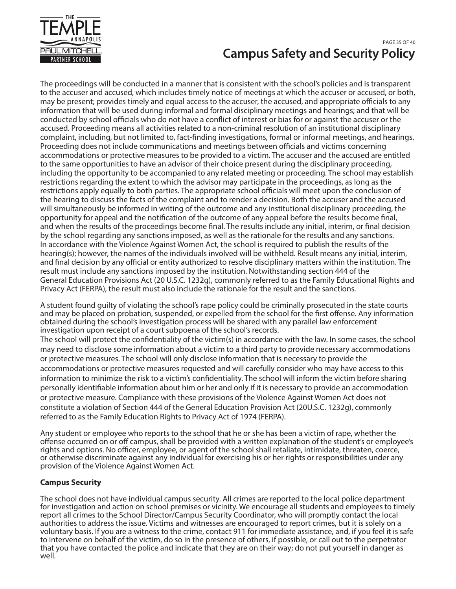

# **Campus Safety and Security Policy** PAGE 35 OF 40

The proceedings will be conducted in a manner that is consistent with the school's policies and is transparent to the accuser and accused, which includes timely notice of meetings at which the accuser or accused, or both, may be present; provides timely and equal access to the accuser, the accused, and appropriate officials to any information that will be used during informal and formal disciplinary meetings and hearings; and that will be conducted by school officials who do not have a conflict of interest or bias for or against the accuser or the accused. Proceeding means all activities related to a non-criminal resolution of an institutional disciplinary complaint, including, but not limited to, fact-finding investigations, formal or informal meetings, and hearings. Proceeding does not include communications and meetings between officials and victims concerning accommodations or protective measures to be provided to a victim. The accuser and the accused are entitled to the same opportunities to have an advisor of their choice present during the disciplinary proceeding, including the opportunity to be accompanied to any related meeting or proceeding. The school may establish restrictions regarding the extent to which the advisor may participate in the proceedings, as long as the restrictions apply equally to both parties. The appropriate school officials will meet upon the conclusion of the hearing to discuss the facts of the complaint and to render a decision. Both the accuser and the accused will simultaneously be informed in writing of the outcome and any institutional disciplinary proceeding, the opportunity for appeal and the notification of the outcome of any appeal before the results become final, and when the results of the proceedings become final. The results include any initial, interim, or final decision by the school regarding any sanctions imposed, as well as the rationale for the results and any sanctions. In accordance with the Violence Against Women Act, the school is required to publish the results of the hearing(s); however, the names of the individuals involved will be withheld. Result means any initial, interim, and final decision by any official or entity authorized to resolve disciplinary matters within the institution. The result must include any sanctions imposed by the institution. Notwithstanding section 444 of the General Education Provisions Act (20 U.S.C. 1232g), commonly referred to as the Family Educational Rights and Privacy Act (FERPA), the result must also include the rationale for the result and the sanctions.

A student found guilty of violating the school's rape policy could be criminally prosecuted in the state courts and may be placed on probation, suspended, or expelled from the school for the first offense. Any information obtained during the school's investigation process will be shared with any parallel law enforcement investigation upon receipt of a court subpoena of the school's records.

The school will protect the confidentiality of the victim(s) in accordance with the law. In some cases, the school may need to disclose some information about a victim to a third party to provide necessary accommodations or protective measures. The school will only disclose information that is necessary to provide the accommodations or protective measures requested and will carefully consider who may have access to this information to minimize the risk to a victim's confidentiality. The school will inform the victim before sharing personally identifiable information about him or her and only if it is necessary to provide an accommodation or protective measure. Compliance with these provisions of the Violence Against Women Act does not constitute a violation of Section 444 of the General Education Provision Act (20U.S.C. 1232g), commonly referred to as the Family Education Rights to Privacy Act of 1974 (FERPA).

Any student or employee who reports to the school that he or she has been a victim of rape, whether the offense occurred on or off campus, shall be provided with a written explanation of the student's or employee's rights and options. No officer, employee, or agent of the school shall retaliate, intimidate, threaten, coerce, or otherwise discriminate against any individual for exercising his or her rights or responsibilities under any provision of the Violence Against Women Act.

# **Campus Security**

The school does not have individual campus security. All crimes are reported to the local police department for investigation and action on school premises or vicinity. We encourage all students and employees to timely report all crimes to the School Director/Campus Security Coordinator, who will promptly contact the local authorities to address the issue. Victims and witnesses are encouraged to report crimes, but it is solely on a voluntary basis. If you are a witness to the crime, contact 911 for immediate assistance, and, if you feel it is safe to intervene on behalf of the victim, do so in the presence of others, if possible, or call out to the perpetrator that you have contacted the police and indicate that they are on their way; do not put yourself in danger as well.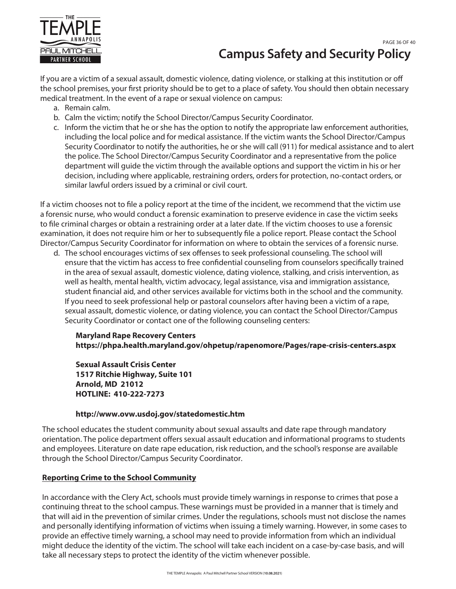

# **Campus Safety and Security Policy** PAGE 36 OF 40

If you are a victim of a sexual assault, domestic violence, dating violence, or stalking at this institution or off the school premises, your first priority should be to get to a place of safety. You should then obtain necessary medical treatment. In the event of a rape or sexual violence on campus:

- a. Remain calm.
- b. Calm the victim; notify the School Director/Campus Security Coordinator.
- c. Inform the victim that he or she has the option to notify the appropriate law enforcement authorities, including the local police and for medical assistance. If the victim wants the School Director/Campus Security Coordinator to notify the authorities, he or she will call (911) for medical assistance and to alert the police. The School Director/Campus Security Coordinator and a representative from the police department will guide the victim through the available options and support the victim in his or her decision, including where applicable, restraining orders, orders for protection, no-contact orders, or similar lawful orders issued by a criminal or civil court.

If a victim chooses not to file a policy report at the time of the incident, we recommend that the victim use a forensic nurse, who would conduct a forensic examination to preserve evidence in case the victim seeks to file criminal charges or obtain a restraining order at a later date. If the victim chooses to use a forensic examination, it does not require him or her to subsequently file a police report. Please contact the School Director/Campus Security Coordinator for information on where to obtain the services of a forensic nurse.

d. The school encourages victims of sex offenses to seek professional counseling. The school will ensure that the victim has access to free confidential counseling from counselors specifically trained in the area of sexual assault, domestic violence, dating violence, stalking, and crisis intervention, as well as health, mental health, victim advocacy, legal assistance, visa and immigration assistance, student financial aid, and other services available for victims both in the school and the community. If you need to seek professional help or pastoral counselors after having been a victim of a rape, sexual assault, domestic violence, or dating violence, you can contact the School Director/Campus Security Coordinator or contact one of the following counseling centers:

#### **Maryland Rape Recovery Centers https://phpa.health.maryland.gov/ohpetup/rapenomore/Pages/rape-crisis-centers.aspx**

**Sexual Assault Crisis Center 1517 Ritchie Highway, Suite 101 Arnold, MD 21012 HOTLINE: 410-222-7273**

## **http://www.ovw.usdoj.gov/statedomestic.htm**

The school educates the student community about sexual assaults and date rape through mandatory orientation. The police department offers sexual assault education and informational programs to students and employees. Literature on date rape education, risk reduction, and the school's response are available through the School Director/Campus Security Coordinator.

## **Reporting Crime to the School Community**

In accordance with the Clery Act, schools must provide timely warnings in response to crimes that pose a continuing threat to the school campus. These warnings must be provided in a manner that is timely and that will aid in the prevention of similar crimes. Under the regulations, schools must not disclose the names and personally identifying information of victims when issuing a timely warning. However, in some cases to provide an effective timely warning, a school may need to provide information from which an individual might deduce the identity of the victim. The school will take each incident on a case-by-case basis, and will take all necessary steps to protect the identity of the victim whenever possible.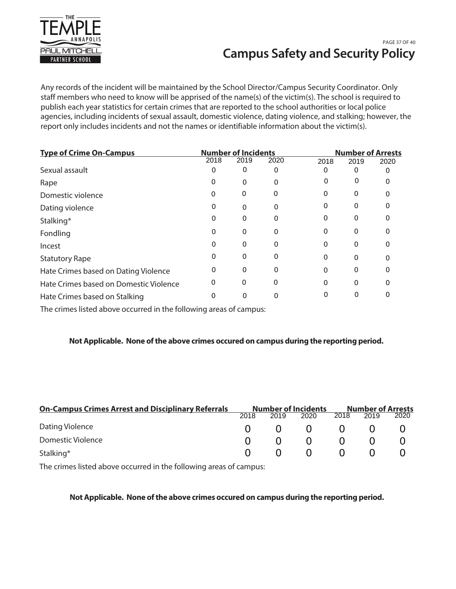

# **Campus Safety and Security Policy** PAGE 37 OF 40

Any records of the incident will be maintained by the School Director/Campus Security Coordinator. Only staff members who need to know will be apprised of the name(s) of the victim(s). The school is required to publish each year statistics for certain crimes that are reported to the school authorities or local police agencies, including incidents of sexual assault, domestic violence, dating violence, and stalking; however, the report only includes incidents and not the names or identifiable information about the victim(s).

| <b>Number of Incidents</b><br><b>Type of Crime On-Campus</b> |      |      | <b>Number of Arrests</b> |      |      |  |
|--------------------------------------------------------------|------|------|--------------------------|------|------|--|
| 2018                                                         | 2019 | 2020 | 2018                     | 2019 | 2020 |  |
|                                                              | 0    | 0    |                          | 0    |      |  |
|                                                              | 0    |      | 0                        | 0    |      |  |
| U                                                            | 0    | 0    | O                        | 0    |      |  |
| 0                                                            | 0    | 0    | O                        | 0    |      |  |
| 0                                                            | 0    | 0    |                          | 0    |      |  |
| 0                                                            | 0    | 0    | O                        | 0    |      |  |
| 0                                                            | 0    | 0    | O                        | 0    |      |  |
| 0                                                            | 0    | 0    | U                        | 0    |      |  |
| 0                                                            | 0    | 0    | U                        | 0    |      |  |
| 0                                                            | 0    | 0    |                          | 0    |      |  |
|                                                              | 0    |      |                          | 0    |      |  |
|                                                              |      |      |                          |      |      |  |

The crimes listed above occurred in the following areas of campus:

## **Not Applicable. None of the above crimes occured on campus during the reporting period.**

| <b>On-Campus Crimes Arrest and Disciplinary Referrals</b> |              |                | <b>Number of Incidents</b>                      |                | <b>Number of Arrests</b> |      |
|-----------------------------------------------------------|--------------|----------------|-------------------------------------------------|----------------|--------------------------|------|
|                                                           | 2018         | 2019           | 2020                                            | 2018           | 2019                     | 2020 |
| Dating Violence                                           |              |                | $\begin{matrix} 0 & 0 & 0 & 0 & 0 \end{matrix}$ |                |                          |      |
| Domestic Violence                                         | $\mathbf{U}$ | $\overline{0}$ | $\bigcap$                                       |                |                          |      |
| Stalking*                                                 | $\mathbf{U}$ | $\overline{0}$ | $\bigcap$                                       | $\overline{0}$ | $\left( \right)$         |      |

The crimes listed above occurred in the following areas of campus:

## **Not Applicable. None of the above crimes occured on campus during the reporting period.**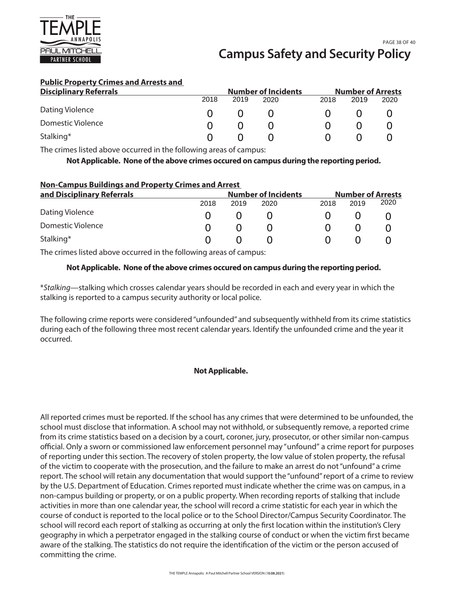

### **Public Property Crimes and Arrests and**

| <b>Disciplinary Referrals</b> |      |      | <b>Number of Incidents</b> |      | <b>Number of Arrests</b> |      |
|-------------------------------|------|------|----------------------------|------|--------------------------|------|
|                               | 2018 | 2019 | 2020                       | 2018 | 2019                     | 2020 |
| Dating Violence               |      |      |                            |      |                          |      |
| Domestic Violence             |      |      |                            |      |                          |      |
| Stalking*                     |      |      |                            |      |                          |      |

The crimes listed above occurred in the following areas of campus:

**Not Applicable. None of the above crimes occured on campus during the reporting period.**

## **Non-Campus Buildings and Property Crimes and Arrest**

| and Disciplinary Referrals |      |      | <b>Number of Incidents</b> |      |      | <b>Number of Arrests</b> |
|----------------------------|------|------|----------------------------|------|------|--------------------------|
|                            | 2018 | 2019 | 2020                       | 2018 | 2019 | 2020                     |
| Dating Violence            |      |      |                            |      |      |                          |
| Domestic Violence          |      |      |                            |      |      |                          |
| Stalking*                  |      |      |                            |      |      |                          |

The crimes listed above occurred in the following areas of campus:

#### **Not Applicable. None of the above crimes occured on campus during the reporting period.**

\*Stalking—stalking which crosses calendar years should be recorded in each and every year in which the stalking is reported to a campus security authority or local police.

The following crime reports were considered ''unfounded'' and subsequently withheld from its crime statistics during each of the following three most recent calendar years. Identify the unfounded crime and the year it occurred.

## **Not Applicable.**

All reported crimes must be reported. If the school has any crimes that were determined to be unfounded, the school must disclose that information. A school may not withhold, or subsequently remove, a reported crime from its crime statistics based on a decision by a court, coroner, jury, prosecutor, or other similar non-campus official. Only a sworn or commissioned law enforcement personnel may "unfound" a crime report for purposes of reporting under this section. The recovery of stolen property, the low value of stolen property, the refusal of the victim to cooperate with the prosecution, and the failure to make an arrest do not "unfound" a crime report. The school will retain any documentation that would support the "unfound" report of a crime to review by the U.S. Department of Education. Crimes reported must indicate whether the crime was on campus, in a non-campus building or property, or on a public property. When recording reports of stalking that include activities in more than one calendar year, the school will record a crime statistic for each year in which the course of conduct is reported to the local police or to the School Director/Campus Security Coordinator. The school will record each report of stalking as occurring at only the first location within the institution's Clery geography in which a perpetrator engaged in the stalking course of conduct or when the victim first became aware of the stalking. The statistics do not require the identification of the victim or the person accused of committing the crime.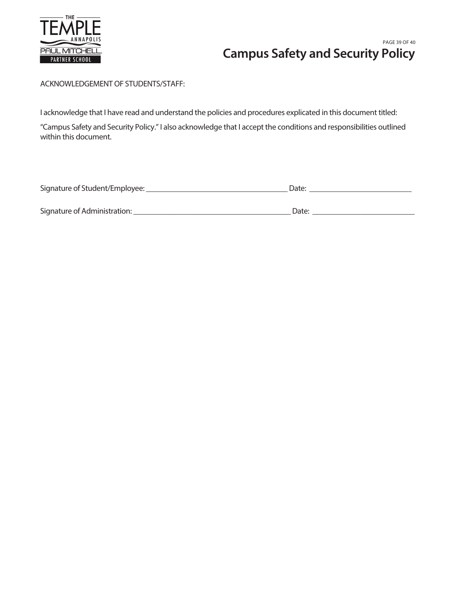

# **Campus Safety and Security Policy** PAGE 39 OF 40

# ACKNOWLEDGEMENT OF STUDENTS/STAFF:

I acknowledge that I have read and understand the policies and procedures explicated in this document titled:

"Campus Safety and Security Policy." I also acknowledge that I accept the conditions and responsibilities outlined within this document.

| Signature of Student/Employee: | Date: |
|--------------------------------|-------|
|                                |       |
| Signature of Administration:   | Date: |